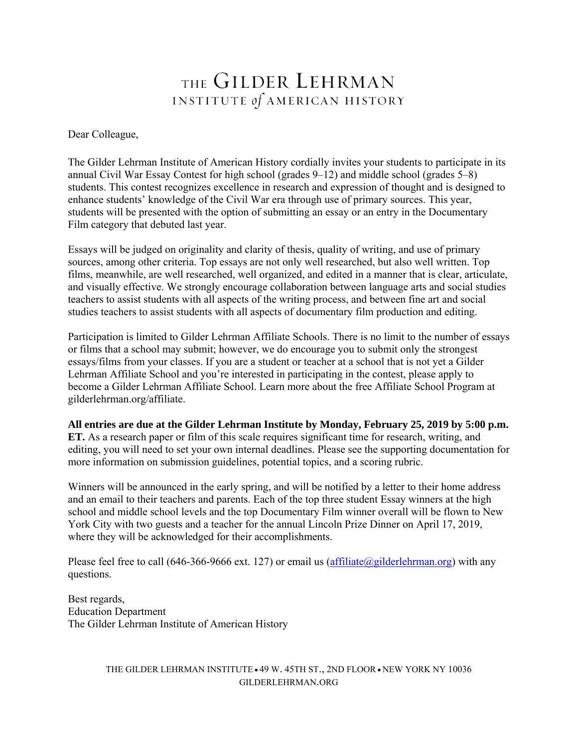# THE GILDER LEHRMAN INSTITUTE of AMERICAN HISTORY

Dear Colleague,

The Gilder Lehrman Institute of American History cordially invites your students to participate in its annual Civil War Essay Contest for high school (grades 9–12) and middle school (grades 5–8) students. This contest recognizes excellence in research and expression of thought and is designed to enhance students' knowledge of the Civil War era through use of primary sources. This year, students will be presented with the option of submitting an essay or an entry in the Documentary Film category that debuted last year.

Essays will be judged on originality and clarity of thesis, quality of writing, and use of primary sources, among other criteria. Top essays are not only well researched, but also well written. Top films, meanwhile, are well researched, well organized, and edited in a manner that is clear, articulate, and visually effective. We strongly encourage collaboration between language arts and social studies teachers to assist students with all aspects of the writing process, and between fine art and social studies teachers to assist students with all aspects of documentary film production and editing.

Participation is limited to Gilder Lehrman Affiliate Schools. There is no limit to the number of essays or films that a school may submit; however, we do encourage you to submit only the strongest essays/films from your classes. If you are a student or teacher at a school that is not yet a Gilder Lehrman Affiliate School and you're interested in participating in the contest, please apply to become a Gilder Lehrman Affiliate School. Learn more about the free Affiliate School Program at gilderlehrman.org/affiliate.

**All entries are due at the Gilder Lehrman Institute by Monday, February 25, 2019 by 5:00 p.m. ET.** As a research paper or film of this scale requires significant time for research, writing, and editing, you will need to set your own internal deadlines. Please see the supporting documentation for more information on submission guidelines, potential topics, and a scoring rubric.

Winners will be announced in the early spring, and will be notified by a letter to their home address and an email to their teachers and parents. Each of the top three student Essay winners at the high school and middle school levels and the top Documentary Film winner overall will be flown to New York City with two guests and a teacher for the annual Lincoln Prize Dinner on April 17, 2019, where they will be acknowledged for their accomplishments.

Please feel free to call  $(646-366-9666 \text{ ext. } 127)$  or email us  $(affiliate@gilderlehrman.org)$  with any questions.

Best regards, Education Department The Gilder Lehrman Institute of American History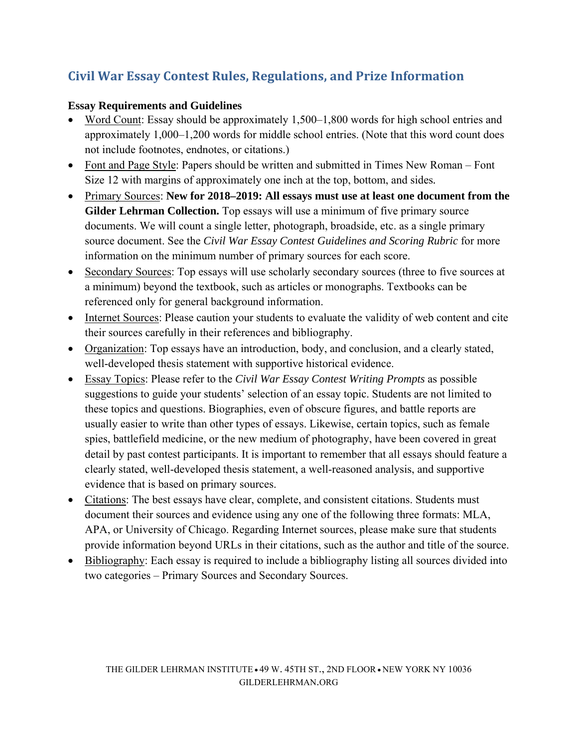# **Civil War Essay Contest Rules, Regulations, and Prize Information**

### **Essay Requirements and Guidelines**

- Word Count: Essay should be approximately 1,500–1,800 words for high school entries and approximately 1,000–1,200 words for middle school entries. (Note that this word count does not include footnotes, endnotes, or citations.)
- Font and Page Style: Papers should be written and submitted in Times New Roman Font Size 12 with margins of approximately one inch at the top, bottom, and sides*.*
- Primary Sources: **New for 2018–2019: All essays must use at least one document from the Gilder Lehrman Collection.** Top essays will use a minimum of five primary source documents. We will count a single letter, photograph, broadside, etc. as a single primary source document. See the *Civil War Essay Contest Guidelines and Scoring Rubric* for more information on the minimum number of primary sources for each score.
- Secondary Sources: Top essays will use scholarly secondary sources (three to five sources at a minimum) beyond the textbook, such as articles or monographs. Textbooks can be referenced only for general background information.
- Internet Sources: Please caution your students to evaluate the validity of web content and cite their sources carefully in their references and bibliography.
- Organization: Top essays have an introduction, body, and conclusion, and a clearly stated, well-developed thesis statement with supportive historical evidence.
- Essay Topics: Please refer to the *Civil War Essay Contest Writing Prompts* as possible suggestions to guide your students' selection of an essay topic. Students are not limited to these topics and questions. Biographies, even of obscure figures, and battle reports are usually easier to write than other types of essays. Likewise, certain topics, such as female spies, battlefield medicine, or the new medium of photography, have been covered in great detail by past contest participants. It is important to remember that all essays should feature a clearly stated, well-developed thesis statement, a well-reasoned analysis, and supportive evidence that is based on primary sources.
- Citations: The best essays have clear, complete, and consistent citations. Students must document their sources and evidence using any one of the following three formats: MLA, APA, or University of Chicago. Regarding Internet sources, please make sure that students provide information beyond URLs in their citations, such as the author and title of the source.
- Bibliography: Each essay is required to include a bibliography listing all sources divided into two categories – Primary Sources and Secondary Sources.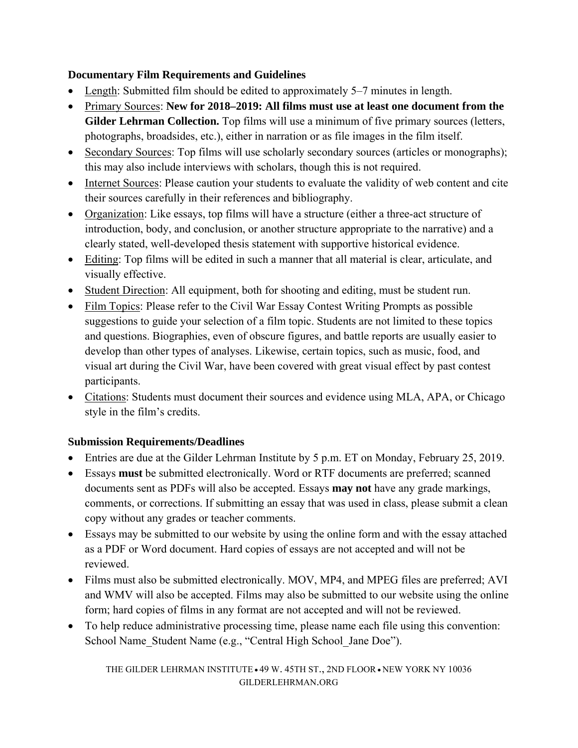# **Documentary Film Requirements and Guidelines**

- Length: Submitted film should be edited to approximately 5–7 minutes in length.
- Primary Sources: **New for 2018–2019: All films must use at least one document from the Gilder Lehrman Collection.** Top films will use a minimum of five primary sources (letters, photographs, broadsides, etc.), either in narration or as file images in the film itself.
- Secondary Sources: Top films will use scholarly secondary sources (articles or monographs); this may also include interviews with scholars, though this is not required.
- Internet Sources: Please caution your students to evaluate the validity of web content and cite their sources carefully in their references and bibliography.
- Organization: Like essays, top films will have a structure (either a three-act structure of introduction, body, and conclusion, or another structure appropriate to the narrative) and a clearly stated, well-developed thesis statement with supportive historical evidence.
- Editing: Top films will be edited in such a manner that all material is clear, articulate, and visually effective.
- Student Direction: All equipment, both for shooting and editing, must be student run.
- Film Topics: Please refer to the Civil War Essay Contest Writing Prompts as possible suggestions to guide your selection of a film topic. Students are not limited to these topics and questions. Biographies, even of obscure figures, and battle reports are usually easier to develop than other types of analyses. Likewise, certain topics, such as music, food, and visual art during the Civil War, have been covered with great visual effect by past contest participants.
- Citations: Students must document their sources and evidence using MLA, APA, or Chicago style in the film's credits.

# **Submission Requirements/Deadlines**

- Entries are due at the Gilder Lehrman Institute by 5 p.m. ET on Monday, February 25, 2019.
- Essays **must** be submitted electronically. Word or RTF documents are preferred; scanned documents sent as PDFs will also be accepted. Essays **may not** have any grade markings, comments, or corrections. If submitting an essay that was used in class, please submit a clean copy without any grades or teacher comments.
- Essays may be submitted to our website by using the online form and with the essay attached as a PDF or Word document. Hard copies of essays are not accepted and will not be reviewed.
- Films must also be submitted electronically. MOV, MP4, and MPEG files are preferred; AVI and WMV will also be accepted. Films may also be submitted to our website using the online form; hard copies of films in any format are not accepted and will not be reviewed.
- To help reduce administrative processing time, please name each file using this convention: School Name Student Name (e.g., "Central High School Jane Doe").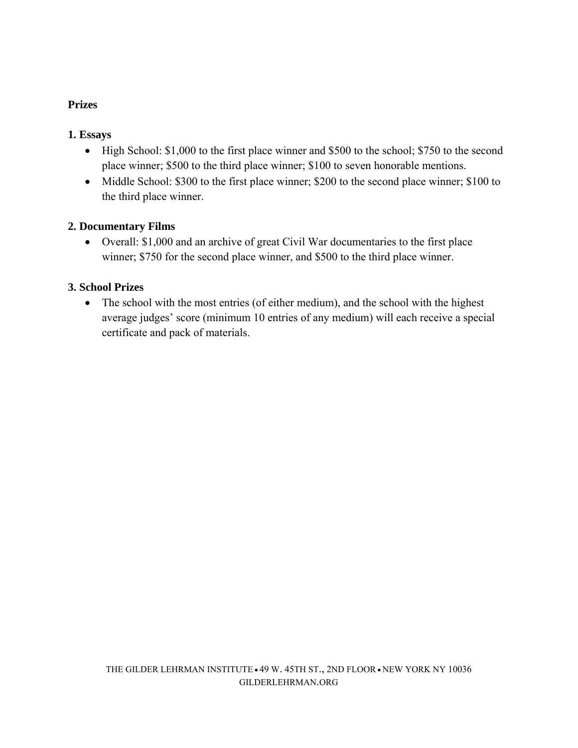# **Prizes**

#### **1. Essays**

- High School: \$1,000 to the first place winner and \$500 to the school; \$750 to the second place winner; \$500 to the third place winner; \$100 to seven honorable mentions.
- Middle School: \$300 to the first place winner; \$200 to the second place winner; \$100 to the third place winner.

### **2. Documentary Films**

 Overall: \$1,000 and an archive of great Civil War documentaries to the first place winner; \$750 for the second place winner, and \$500 to the third place winner.

### **3. School Prizes**

• The school with the most entries (of either medium), and the school with the highest average judges' score (minimum 10 entries of any medium) will each receive a special certificate and pack of materials.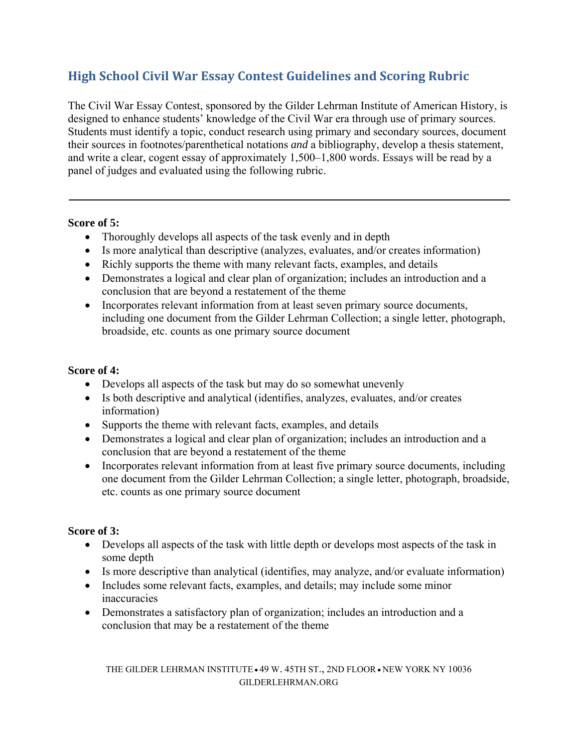# **High School Civil War Essay Contest Guidelines and Scoring Rubric**

The Civil War Essay Contest, sponsored by the Gilder Lehrman Institute of American History, is designed to enhance students' knowledge of the Civil War era through use of primary sources. Students must identify a topic, conduct research using primary and secondary sources, document their sources in footnotes/parenthetical notations *and* a bibliography, develop a thesis statement, and write a clear, cogent essay of approximately 1,500–1,800 words. Essays will be read by a panel of judges and evaluated using the following rubric.

#### **Score of 5:**

- Thoroughly develops all aspects of the task evenly and in depth
- Is more analytical than descriptive (analyzes, evaluates, and/or creates information)
- Richly supports the theme with many relevant facts, examples, and details
- Demonstrates a logical and clear plan of organization; includes an introduction and a conclusion that are beyond a restatement of the theme
- Incorporates relevant information from at least seven primary source documents, including one document from the Gilder Lehrman Collection; a single letter, photograph, broadside, etc. counts as one primary source document

### **Score of 4:**

- Develops all aspects of the task but may do so somewhat unevenly
- Is both descriptive and analytical (identifies, analyzes, evaluates, and/or creates information)
- Supports the theme with relevant facts, examples, and details
- Demonstrates a logical and clear plan of organization; includes an introduction and a conclusion that are beyond a restatement of the theme
- Incorporates relevant information from at least five primary source documents, including one document from the Gilder Lehrman Collection; a single letter, photograph, broadside, etc. counts as one primary source document

#### **Score of 3:**

- Develops all aspects of the task with little depth or develops most aspects of the task in some depth
- Is more descriptive than analytical (identifies, may analyze, and/or evaluate information)
- Includes some relevant facts, examples, and details; may include some minor inaccuracies
- Demonstrates a satisfactory plan of organization; includes an introduction and a conclusion that may be a restatement of the theme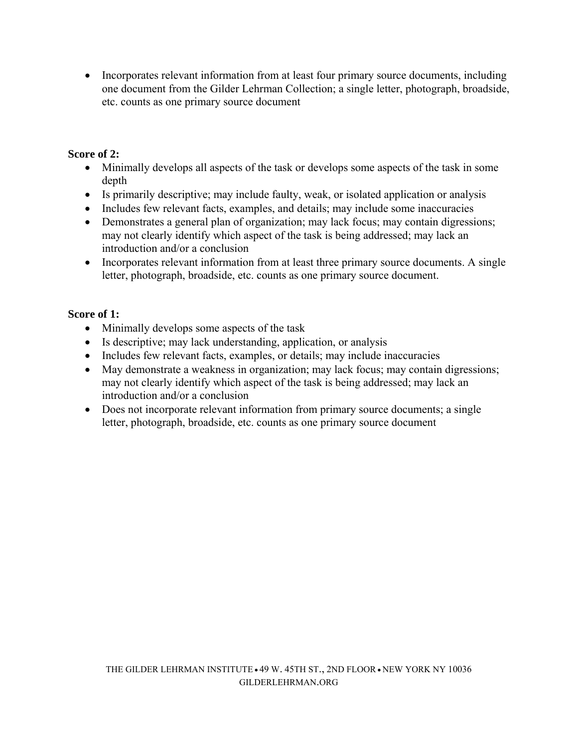• Incorporates relevant information from at least four primary source documents, including one document from the Gilder Lehrman Collection; a single letter, photograph, broadside, etc. counts as one primary source document

### **Score of 2:**

- Minimally develops all aspects of the task or develops some aspects of the task in some depth
- Is primarily descriptive; may include faulty, weak, or isolated application or analysis
- Includes few relevant facts, examples, and details; may include some inaccuracies
- Demonstrates a general plan of organization; may lack focus; may contain digressions; may not clearly identify which aspect of the task is being addressed; may lack an introduction and/or a conclusion
- Incorporates relevant information from at least three primary source documents. A single letter, photograph, broadside, etc. counts as one primary source document.

#### **Score of 1:**

- Minimally develops some aspects of the task
- Is descriptive; may lack understanding, application, or analysis
- Includes few relevant facts, examples, or details; may include inaccuracies
- May demonstrate a weakness in organization; may lack focus; may contain digressions; may not clearly identify which aspect of the task is being addressed; may lack an introduction and/or a conclusion
- Does not incorporate relevant information from primary source documents; a single letter, photograph, broadside, etc. counts as one primary source document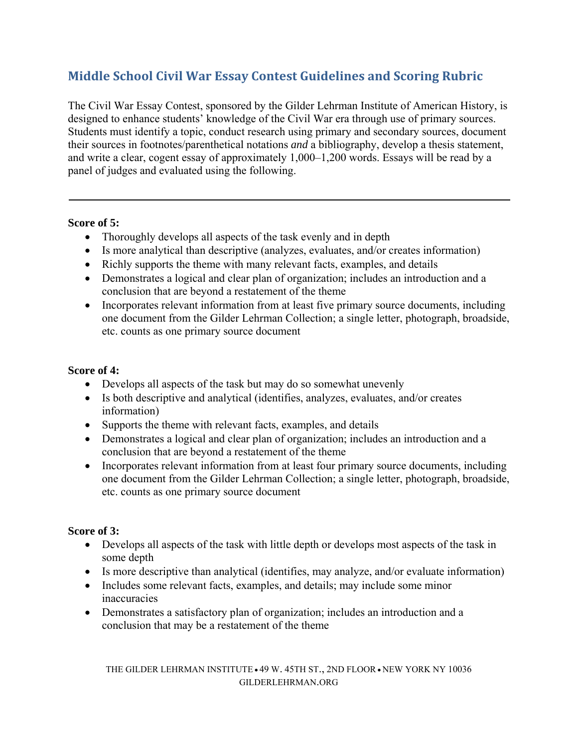# **Middle School Civil War Essay Contest Guidelines and Scoring Rubric**

The Civil War Essay Contest, sponsored by the Gilder Lehrman Institute of American History, is designed to enhance students' knowledge of the Civil War era through use of primary sources. Students must identify a topic, conduct research using primary and secondary sources, document their sources in footnotes/parenthetical notations *and* a bibliography, develop a thesis statement, and write a clear, cogent essay of approximately 1,000–1,200 words. Essays will be read by a panel of judges and evaluated using the following.

#### **Score of 5:**

- Thoroughly develops all aspects of the task evenly and in depth
- Is more analytical than descriptive (analyzes, evaluates, and/or creates information)
- Richly supports the theme with many relevant facts, examples, and details
- Demonstrates a logical and clear plan of organization; includes an introduction and a conclusion that are beyond a restatement of the theme
- Incorporates relevant information from at least five primary source documents, including one document from the Gilder Lehrman Collection; a single letter, photograph, broadside, etc. counts as one primary source document

### **Score of 4:**

- Develops all aspects of the task but may do so somewhat unevenly
- Is both descriptive and analytical (identifies, analyzes, evaluates, and/or creates information)
- Supports the theme with relevant facts, examples, and details
- Demonstrates a logical and clear plan of organization; includes an introduction and a conclusion that are beyond a restatement of the theme
- Incorporates relevant information from at least four primary source documents, including one document from the Gilder Lehrman Collection; a single letter, photograph, broadside, etc. counts as one primary source document

#### **Score of 3:**

- Develops all aspects of the task with little depth or develops most aspects of the task in some depth
- Is more descriptive than analytical (identifies, may analyze, and/or evaluate information)
- Includes some relevant facts, examples, and details; may include some minor inaccuracies
- Demonstrates a satisfactory plan of organization; includes an introduction and a conclusion that may be a restatement of the theme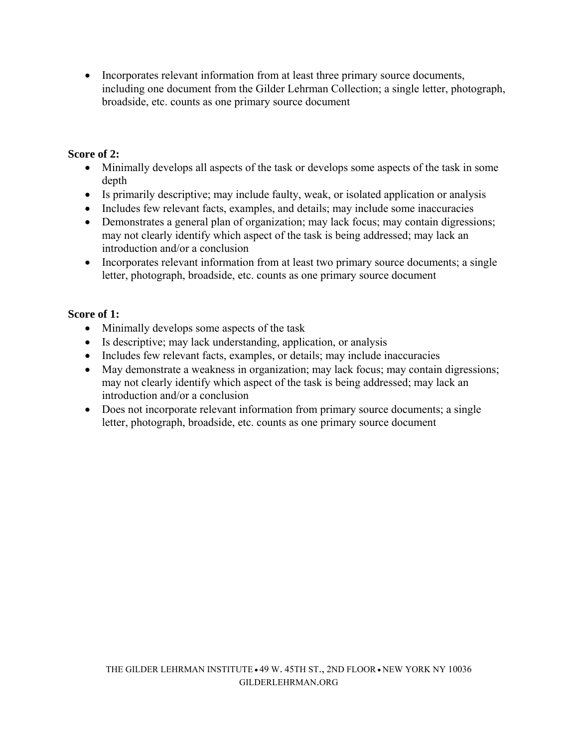• Incorporates relevant information from at least three primary source documents, including one document from the Gilder Lehrman Collection; a single letter, photograph, broadside, etc. counts as one primary source document

### **Score of 2:**

- Minimally develops all aspects of the task or develops some aspects of the task in some depth
- Is primarily descriptive; may include faulty, weak, or isolated application or analysis
- Includes few relevant facts, examples, and details; may include some inaccuracies
- Demonstrates a general plan of organization; may lack focus; may contain digressions; may not clearly identify which aspect of the task is being addressed; may lack an introduction and/or a conclusion
- Incorporates relevant information from at least two primary source documents; a single letter, photograph, broadside, etc. counts as one primary source document

### **Score of 1:**

- Minimally develops some aspects of the task
- Is descriptive; may lack understanding, application, or analysis
- Includes few relevant facts, examples, or details; may include inaccuracies
- May demonstrate a weakness in organization; may lack focus; may contain digressions; may not clearly identify which aspect of the task is being addressed; may lack an introduction and/or a conclusion
- Does not incorporate relevant information from primary source documents; a single letter, photograph, broadside, etc. counts as one primary source document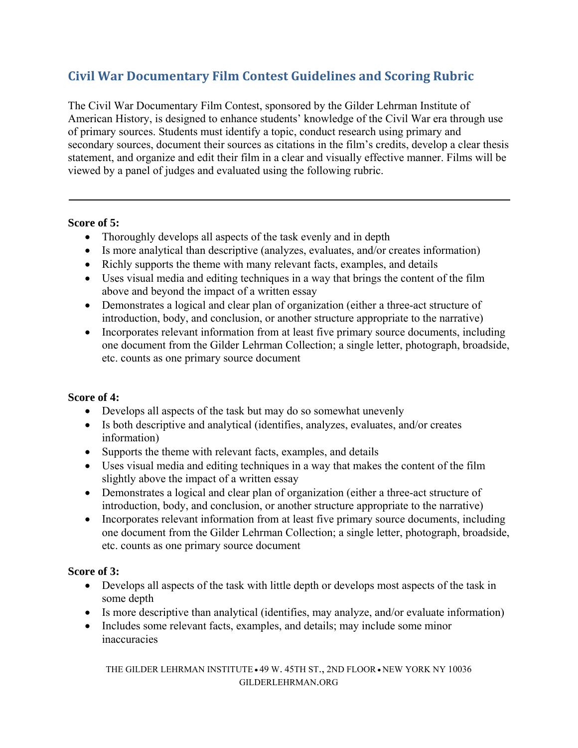# **Civil War Documentary Film Contest Guidelines and Scoring Rubric**

The Civil War Documentary Film Contest, sponsored by the Gilder Lehrman Institute of American History, is designed to enhance students' knowledge of the Civil War era through use of primary sources. Students must identify a topic, conduct research using primary and secondary sources, document their sources as citations in the film's credits, develop a clear thesis statement, and organize and edit their film in a clear and visually effective manner. Films will be viewed by a panel of judges and evaluated using the following rubric.

#### **Score of 5:**

- Thoroughly develops all aspects of the task evenly and in depth
- Is more analytical than descriptive (analyzes, evaluates, and/or creates information)
- Richly supports the theme with many relevant facts, examples, and details
- Uses visual media and editing techniques in a way that brings the content of the film above and beyond the impact of a written essay
- Demonstrates a logical and clear plan of organization (either a three-act structure of introduction, body, and conclusion, or another structure appropriate to the narrative)
- Incorporates relevant information from at least five primary source documents, including one document from the Gilder Lehrman Collection; a single letter, photograph, broadside, etc. counts as one primary source document

# **Score of 4:**

- Develops all aspects of the task but may do so somewhat unevenly
- Is both descriptive and analytical (identifies, analyzes, evaluates, and/or creates information)
- Supports the theme with relevant facts, examples, and details
- Uses visual media and editing techniques in a way that makes the content of the film slightly above the impact of a written essay
- Demonstrates a logical and clear plan of organization (either a three-act structure of introduction, body, and conclusion, or another structure appropriate to the narrative)
- Incorporates relevant information from at least five primary source documents, including one document from the Gilder Lehrman Collection; a single letter, photograph, broadside, etc. counts as one primary source document

# **Score of 3:**

- Develops all aspects of the task with little depth or develops most aspects of the task in some depth
- Is more descriptive than analytical (identifies, may analyze, and/or evaluate information)
- Includes some relevant facts, examples, and details; may include some minor inaccuracies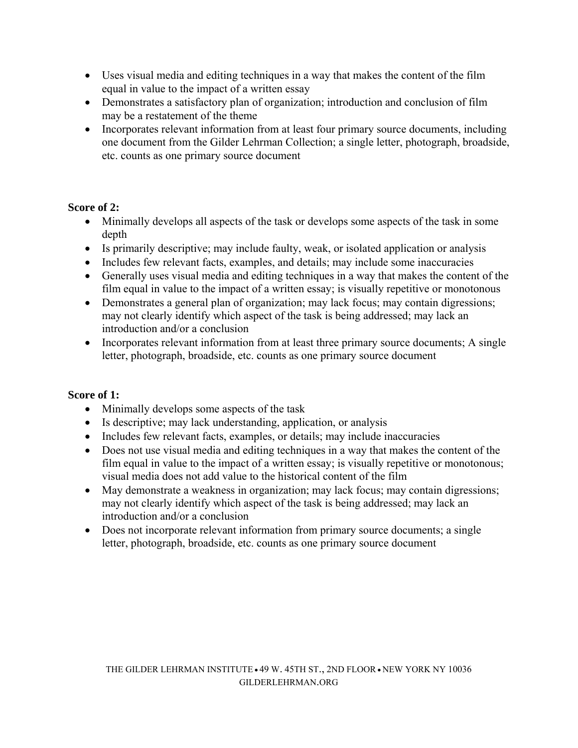- Uses visual media and editing techniques in a way that makes the content of the film equal in value to the impact of a written essay
- Demonstrates a satisfactory plan of organization; introduction and conclusion of film may be a restatement of the theme
- Incorporates relevant information from at least four primary source documents, including one document from the Gilder Lehrman Collection; a single letter, photograph, broadside, etc. counts as one primary source document

### **Score of 2:**

- Minimally develops all aspects of the task or develops some aspects of the task in some depth
- Is primarily descriptive; may include faulty, weak, or isolated application or analysis
- Includes few relevant facts, examples, and details; may include some inaccuracies
- Generally uses visual media and editing techniques in a way that makes the content of the film equal in value to the impact of a written essay; is visually repetitive or monotonous
- Demonstrates a general plan of organization; may lack focus; may contain digressions; may not clearly identify which aspect of the task is being addressed; may lack an introduction and/or a conclusion
- Incorporates relevant information from at least three primary source documents; A single letter, photograph, broadside, etc. counts as one primary source document

#### **Score of 1:**

- Minimally develops some aspects of the task
- Is descriptive; may lack understanding, application, or analysis
- Includes few relevant facts, examples, or details; may include inaccuracies
- Does not use visual media and editing techniques in a way that makes the content of the film equal in value to the impact of a written essay; is visually repetitive or monotonous; visual media does not add value to the historical content of the film
- May demonstrate a weakness in organization; may lack focus; may contain digressions; may not clearly identify which aspect of the task is being addressed; may lack an introduction and/or a conclusion
- Does not incorporate relevant information from primary source documents; a single letter, photograph, broadside, etc. counts as one primary source document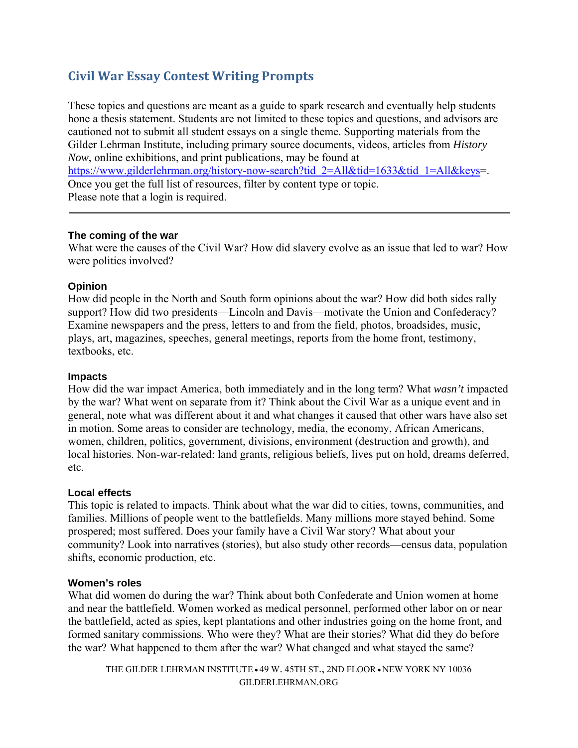# **Civil War Essay Contest Writing Prompts**

These topics and questions are meant as a guide to spark research and eventually help students hone a thesis statement. Students are not limited to these topics and questions, and advisors are cautioned not to submit all student essays on a single theme. Supporting materials from the Gilder Lehrman Institute, including primary source documents, videos, articles from *History Now*, online exhibitions, and print publications, may be found at https://www.gilderlehrman.org/history-now-search?tid\_2=All&tid=1633&tid\_1=All&keys=. Once you get the full list of resources, filter by content type or topic. Please note that a login is required.

#### **The coming of the war**

What were the causes of the Civil War? How did slavery evolve as an issue that led to war? How were politics involved?

#### **Opinion**

How did people in the North and South form opinions about the war? How did both sides rally support? How did two presidents—Lincoln and Davis—motivate the Union and Confederacy? Examine newspapers and the press, letters to and from the field, photos, broadsides, music, plays, art, magazines, speeches, general meetings, reports from the home front, testimony, textbooks, etc.

#### **Impacts**

How did the war impact America, both immediately and in the long term? What *wasn't* impacted by the war? What went on separate from it? Think about the Civil War as a unique event and in general, note what was different about it and what changes it caused that other wars have also set in motion. Some areas to consider are technology, media, the economy, African Americans, women, children, politics, government, divisions, environment (destruction and growth), and local histories. Non-war-related: land grants, religious beliefs, lives put on hold, dreams deferred, etc.

#### **Local effects**

This topic is related to impacts. Think about what the war did to cities, towns, communities, and families. Millions of people went to the battlefields. Many millions more stayed behind. Some prospered; most suffered. Does your family have a Civil War story? What about your community? Look into narratives (stories), but also study other records—census data, population shifts, economic production, etc.

#### **Women's roles**

What did women do during the war? Think about both Confederate and Union women at home and near the battlefield. Women worked as medical personnel, performed other labor on or near the battlefield, acted as spies, kept plantations and other industries going on the home front, and formed sanitary commissions. Who were they? What are their stories? What did they do before the war? What happened to them after the war? What changed and what stayed the same?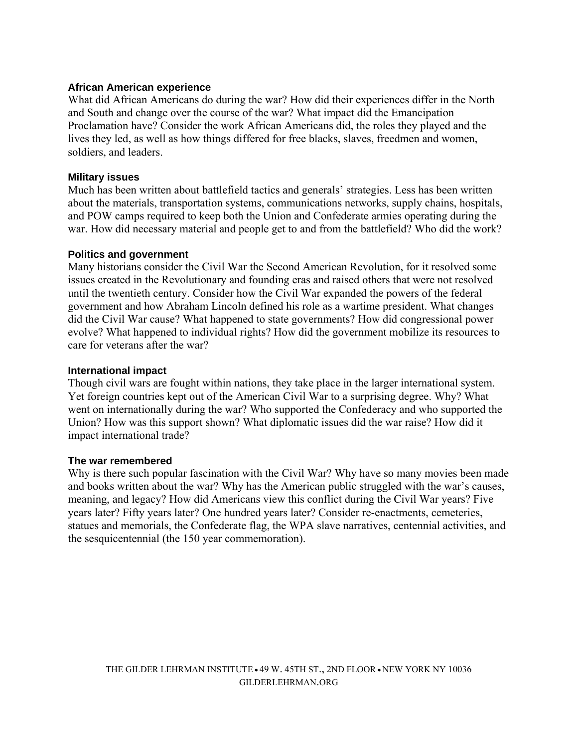#### **African American experience**

What did African Americans do during the war? How did their experiences differ in the North and South and change over the course of the war? What impact did the Emancipation Proclamation have? Consider the work African Americans did, the roles they played and the lives they led, as well as how things differed for free blacks, slaves, freedmen and women, soldiers, and leaders.

#### **Military issues**

Much has been written about battlefield tactics and generals' strategies. Less has been written about the materials, transportation systems, communications networks, supply chains, hospitals, and POW camps required to keep both the Union and Confederate armies operating during the war. How did necessary material and people get to and from the battlefield? Who did the work?

#### **Politics and government**

Many historians consider the Civil War the Second American Revolution, for it resolved some issues created in the Revolutionary and founding eras and raised others that were not resolved until the twentieth century. Consider how the Civil War expanded the powers of the federal government and how Abraham Lincoln defined his role as a wartime president. What changes did the Civil War cause? What happened to state governments? How did congressional power evolve? What happened to individual rights? How did the government mobilize its resources to care for veterans after the war?

#### **International impact**

Though civil wars are fought within nations, they take place in the larger international system. Yet foreign countries kept out of the American Civil War to a surprising degree. Why? What went on internationally during the war? Who supported the Confederacy and who supported the Union? How was this support shown? What diplomatic issues did the war raise? How did it impact international trade?

#### **The war remembered**

Why is there such popular fascination with the Civil War? Why have so many movies been made and books written about the war? Why has the American public struggled with the war's causes, meaning, and legacy? How did Americans view this conflict during the Civil War years? Five years later? Fifty years later? One hundred years later? Consider re-enactments, cemeteries, statues and memorials, the Confederate flag, the WPA slave narratives, centennial activities, and the sesquicentennial (the 150 year commemoration).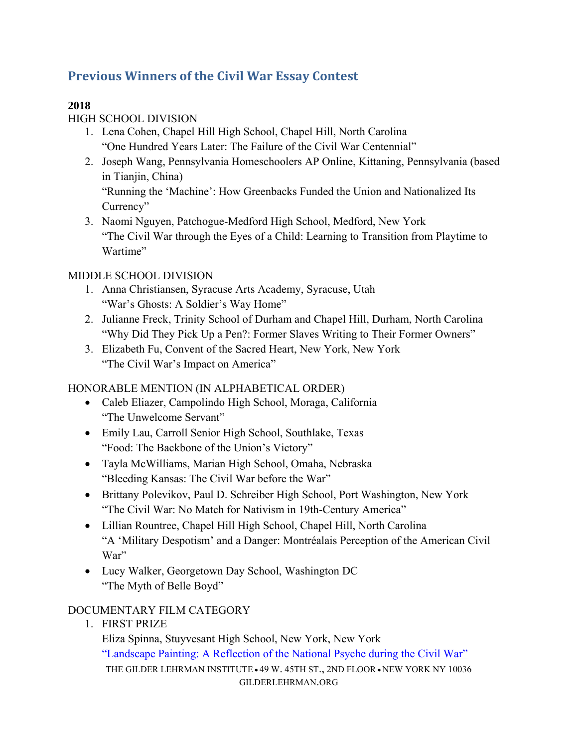# **Previous Winners of the Civil War Essay Contest**

# **2018**

# HIGH SCHOOL DIVISION

- 1. Lena Cohen, Chapel Hill High School, Chapel Hill, North Carolina "One Hundred Years Later: The Failure of the Civil War Centennial"
- 2. Joseph Wang, Pennsylvania Homeschoolers AP Online, Kittaning, Pennsylvania (based in Tianjin, China)

"Running the 'Machine': How Greenbacks Funded the Union and Nationalized Its Currency"

3. Naomi Nguyen, Patchogue-Medford High School, Medford, New York "The Civil War through the Eyes of a Child: Learning to Transition from Playtime to Wartime"

# MIDDLE SCHOOL DIVISION

- 1. Anna Christiansen, Syracuse Arts Academy, Syracuse, Utah "War's Ghosts: A Soldier's Way Home"
- 2. Julianne Freck, Trinity School of Durham and Chapel Hill, Durham, North Carolina "Why Did They Pick Up a Pen?: Former Slaves Writing to Their Former Owners"
- 3. Elizabeth Fu, Convent of the Sacred Heart, New York, New York "The Civil War's Impact on America"

# HONORABLE MENTION (IN ALPHABETICAL ORDER)

- Caleb Eliazer, Campolindo High School, Moraga, California "The Unwelcome Servant"
- Emily Lau, Carroll Senior High School, Southlake, Texas "Food: The Backbone of the Union's Victory"
- Tayla McWilliams, Marian High School, Omaha, Nebraska "Bleeding Kansas: The Civil War before the War"
- Brittany Polevikov, Paul D. Schreiber High School, Port Washington, New York "The Civil War: No Match for Nativism in 19th-Century America"
- Lillian Rountree, Chapel Hill High School, Chapel Hill, North Carolina "A 'Military Despotism' and a Danger: Montréalais Perception of the American Civil War"
- Lucy Walker, Georgetown Day School, Washington DC "The Myth of Belle Boyd"

# DOCUMENTARY FILM CATEGORY

1. FIRST PRIZE

THE GILDER LEHRMAN INSTITUTE  $\cdot$  49 W. 45TH ST., 2ND FLOOR  $\cdot$  NEW YORK NY 10036 GILDERLEHRMAN.ORG Eliza Spinna, Stuyvesant High School, New York, New York "Landscape Painting: A Reflection of the National Psyche during the Civil War"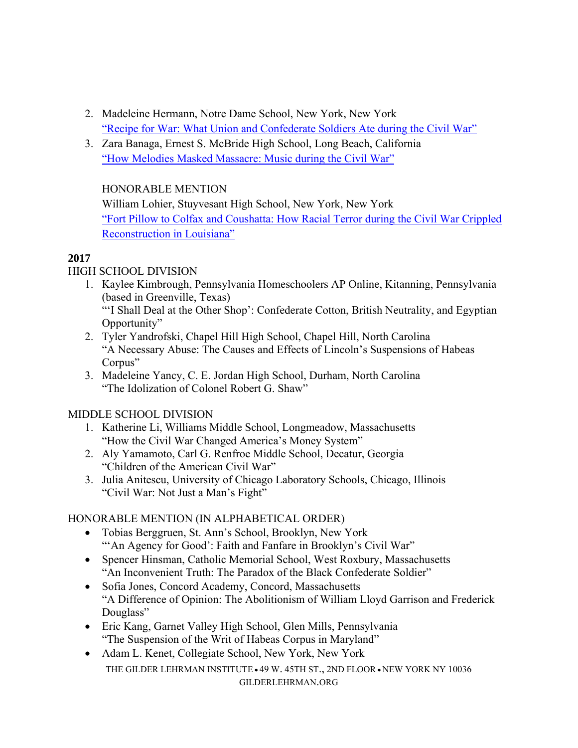- 2. Madeleine Hermann, Notre Dame School, New York, New York "Recipe for War: What Union and Confederate Soldiers Ate during the Civil War"
- 3. Zara Banaga, Ernest S. McBride High School, Long Beach, California "How Melodies Masked Massacre: Music during the Civil War"

### HONORABLE MENTION

William Lohier, Stuyvesant High School, New York, New York "Fort Pillow to Colfax and Coushatta: How Racial Terror during the Civil War Crippled Reconstruction in Louisiana"

# **2017**

# HIGH SCHOOL DIVISION

- 1. Kaylee Kimbrough, Pennsylvania Homeschoolers AP Online, Kitanning, Pennsylvania (based in Greenville, Texas) "'I Shall Deal at the Other Shop': Confederate Cotton, British Neutrality, and Egyptian Opportunity"
- 2. Tyler Yandrofski, Chapel Hill High School, Chapel Hill, North Carolina "A Necessary Abuse: The Causes and Effects of Lincoln's Suspensions of Habeas Corpus"
- 3. Madeleine Yancy, C. E. Jordan High School, Durham, North Carolina "The Idolization of Colonel Robert G. Shaw"

# MIDDLE SCHOOL DIVISION

- 1. Katherine Li, Williams Middle School, Longmeadow, Massachusetts "How the Civil War Changed America's Money System"
- 2. Aly Yamamoto, Carl G. Renfroe Middle School, Decatur, Georgia "Children of the American Civil War"
- 3. Julia Anitescu, University of Chicago Laboratory Schools, Chicago, Illinois "Civil War: Not Just a Man's Fight"

# HONORABLE MENTION (IN ALPHABETICAL ORDER)

- Tobias Berggruen, St. Ann's School, Brooklyn, New York "'An Agency for Good': Faith and Fanfare in Brooklyn's Civil War"
- Spencer Hinsman, Catholic Memorial School, West Roxbury, Massachusetts "An Inconvenient Truth: The Paradox of the Black Confederate Soldier"
- Sofia Jones, Concord Academy, Concord, Massachusetts "A Difference of Opinion: The Abolitionism of William Lloyd Garrison and Frederick Douglass"
- Eric Kang, Garnet Valley High School, Glen Mills, Pennsylvania "The Suspension of the Writ of Habeas Corpus in Maryland"
- THE GILDER LEHRMAN INSTITUTE <sup>49</sup> W. 45TH ST., 2ND FLOOR NEW YORK NY 10036 GILDERLEHRMAN.ORG • Adam L. Kenet, Collegiate School, New York, New York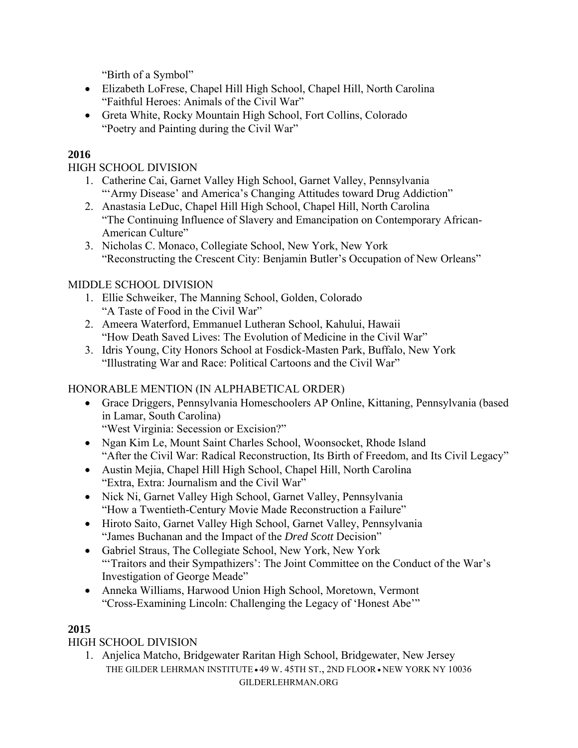"Birth of a Symbol"

- Elizabeth LoFrese, Chapel Hill High School, Chapel Hill, North Carolina "Faithful Heroes: Animals of the Civil War"
- Greta White, Rocky Mountain High School, Fort Collins, Colorado "Poetry and Painting during the Civil War"

# **2016**

HIGH SCHOOL DIVISION

- 1. Catherine Cai, Garnet Valley High School, Garnet Valley, Pennsylvania "'Army Disease' and America's Changing Attitudes toward Drug Addiction"
- 2. Anastasia LeDuc, Chapel Hill High School, Chapel Hill, North Carolina "The Continuing Influence of Slavery and Emancipation on Contemporary African-American Culture"
- 3. Nicholas C. Monaco, Collegiate School, New York, New York "Reconstructing the Crescent City: Benjamin Butler's Occupation of New Orleans"

### MIDDLE SCHOOL DIVISION

- 1. Ellie Schweiker, The Manning School, Golden, Colorado "A Taste of Food in the Civil War"
- 2. Ameera Waterford, Emmanuel Lutheran School, Kahului, Hawaii "How Death Saved Lives: The Evolution of Medicine in the Civil War"
- 3. Idris Young, City Honors School at Fosdick-Masten Park, Buffalo, New York "Illustrating War and Race: Political Cartoons and the Civil War"

# HONORABLE MENTION (IN ALPHABETICAL ORDER)

 Grace Driggers, Pennsylvania Homeschoolers AP Online, Kittaning, Pennsylvania (based in Lamar, South Carolina)

"West Virginia: Secession or Excision?"

- Ngan Kim Le, Mount Saint Charles School, Woonsocket, Rhode Island "After the Civil War: Radical Reconstruction, Its Birth of Freedom, and Its Civil Legacy"
- Austin Mejia, Chapel Hill High School, Chapel Hill, North Carolina "Extra, Extra: Journalism and the Civil War"
- Nick Ni, Garnet Valley High School, Garnet Valley, Pennsylvania "How a Twentieth-Century Movie Made Reconstruction a Failure"
- Hiroto Saito, Garnet Valley High School, Garnet Valley, Pennsylvania "James Buchanan and the Impact of the *Dred Scott* Decision"
- Gabriel Straus, The Collegiate School, New York, New York "'Traitors and their Sympathizers': The Joint Committee on the Conduct of the War's Investigation of George Meade"
- Anneka Williams, Harwood Union High School, Moretown, Vermont "Cross-Examining Lincoln: Challenging the Legacy of 'Honest Abe'"

# **2015**

HIGH SCHOOL DIVISION

THE GILDER LEHRMAN INSTITUTE <sup>49</sup> W. 45TH ST., 2ND FLOOR • NEW YORK NY 10036 GILDERLEHRMAN.ORG 1. Anjelica Matcho, Bridgewater Raritan High School, Bridgewater, New Jersey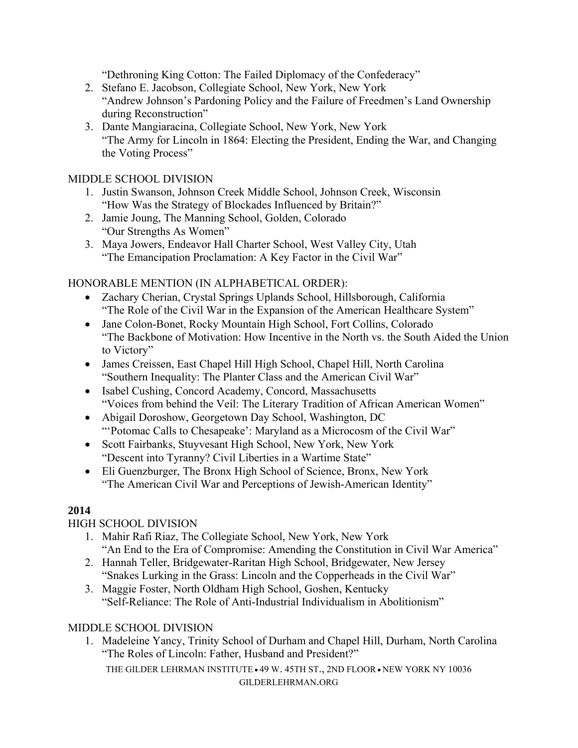"Dethroning King Cotton: The Failed Diplomacy of the Confederacy"

- 2. Stefano E. Jacobson, Collegiate School, New York, New York "Andrew Johnson's Pardoning Policy and the Failure of Freedmen's Land Ownership during Reconstruction"
- 3. Dante Mangiaracina, Collegiate School, New York, New York "The Army for Lincoln in 1864: Electing the President, Ending the War, and Changing the Voting Process"

#### MIDDLE SCHOOL DIVISION

- 1. Justin Swanson, Johnson Creek Middle School, Johnson Creek, Wisconsin "How Was the Strategy of Blockades Influenced by Britain?"
- 2. Jamie Joung, The Manning School, Golden, Colorado "Our Strengths As Women"
- 3. Maya Jowers, Endeavor Hall Charter School, West Valley City, Utah "The Emancipation Proclamation: A Key Factor in the Civil War"

# HONORABLE MENTION (IN ALPHABETICAL ORDER):

- Zachary Cherian, Crystal Springs Uplands School, Hillsborough, California "The Role of the Civil War in the Expansion of the American Healthcare System"
- Jane Colon-Bonet, Rocky Mountain High School, Fort Collins, Colorado "The Backbone of Motivation: How Incentive in the North vs. the South Aided the Union to Victory"
- James Creissen, East Chapel Hill High School, Chapel Hill, North Carolina "Southern Inequality: The Planter Class and the American Civil War"
- Isabel Cushing, Concord Academy, Concord, Massachusetts "Voices from behind the Veil: The Literary Tradition of African American Women"
- Abigail Doroshow, Georgetown Day School, Washington, DC "'Potomac Calls to Chesapeake': Maryland as a Microcosm of the Civil War"
- Scott Fairbanks, Stuyvesant High School, New York, New York "Descent into Tyranny? Civil Liberties in a Wartime State"
- Eli Guenzburger, The Bronx High School of Science, Bronx, New York "The American Civil War and Perceptions of Jewish-American Identity"

# **2014**

# HIGH SCHOOL DIVISION

- 1. Mahir Rafi Riaz, The Collegiate School, New York, New York "An End to the Era of Compromise: Amending the Constitution in Civil War America"
- 2. Hannah Teller, Bridgewater-Raritan High School, Bridgewater, New Jersey "Snakes Lurking in the Grass: Lincoln and the Copperheads in the Civil War"
- 3. Maggie Foster, North Oldham High School, Goshen, Kentucky "Self-Reliance: The Role of Anti-Industrial Individualism in Abolitionism"

# MIDDLE SCHOOL DIVISION

1. Madeleine Yancy, Trinity School of Durham and Chapel Hill, Durham, North Carolina "The Roles of Lincoln: Father, Husband and President?"

THE GILDER LEHRMAN INSTITUTE <sup>49</sup> W. 45TH ST., 2ND FLOOR • NEW YORK NY 10036 GILDERLEHRMAN.ORG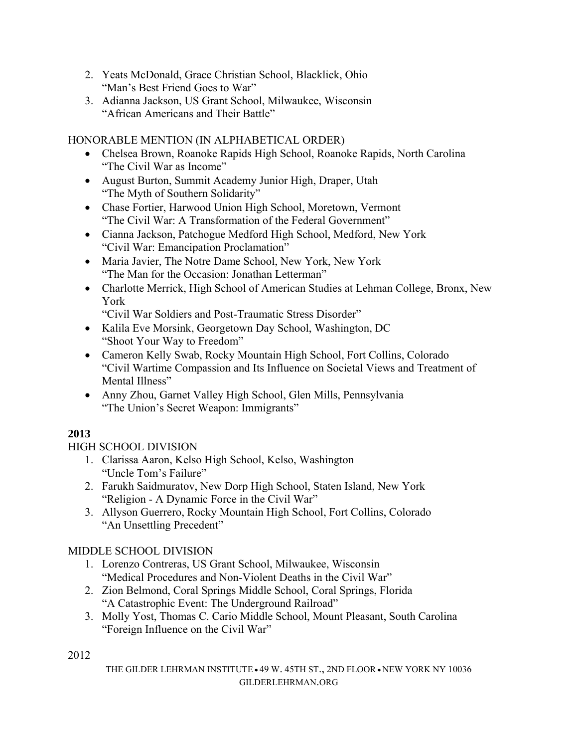- 2. Yeats McDonald, Grace Christian School, Blacklick, Ohio "Man's Best Friend Goes to War"
- 3. Adianna Jackson, US Grant School, Milwaukee, Wisconsin "African Americans and Their Battle"

HONORABLE MENTION (IN ALPHABETICAL ORDER)

- Chelsea Brown, Roanoke Rapids High School, Roanoke Rapids, North Carolina "The Civil War as Income"
- August Burton, Summit Academy Junior High, Draper, Utah "The Myth of Southern Solidarity"
- Chase Fortier, Harwood Union High School, Moretown, Vermont "The Civil War: A Transformation of the Federal Government"
- Cianna Jackson, Patchogue Medford High School, Medford, New York "Civil War: Emancipation Proclamation"
- Maria Javier, The Notre Dame School, New York, New York "The Man for the Occasion: Jonathan Letterman"
- Charlotte Merrick, High School of American Studies at Lehman College, Bronx, New York
	- "Civil War Soldiers and Post-Traumatic Stress Disorder"
- Kalila Eve Morsink, Georgetown Day School, Washington, DC "Shoot Your Way to Freedom"
- Cameron Kelly Swab, Rocky Mountain High School, Fort Collins, Colorado "Civil Wartime Compassion and Its Influence on Societal Views and Treatment of Mental Illness"
- Anny Zhou, Garnet Valley High School, Glen Mills, Pennsylvania "The Union's Secret Weapon: Immigrants"

# **2013**

# HIGH SCHOOL DIVISION

- 1. Clarissa Aaron, Kelso High School, Kelso, Washington "Uncle Tom's Failure"
- 2. Farukh Saidmuratov, New Dorp High School, Staten Island, New York "Religion - A Dynamic Force in the Civil War"
- 3. Allyson Guerrero, Rocky Mountain High School, Fort Collins, Colorado "An Unsettling Precedent"

# MIDDLE SCHOOL DIVISION

- 1. Lorenzo Contreras, US Grant School, Milwaukee, Wisconsin "Medical Procedures and Non-Violent Deaths in the Civil War"
- 2. Zion Belmond, Coral Springs Middle School, Coral Springs, Florida "A Catastrophic Event: The Underground Railroad"
- 3. Molly Yost, Thomas C. Cario Middle School, Mount Pleasant, South Carolina "Foreign Influence on the Civil War"

2012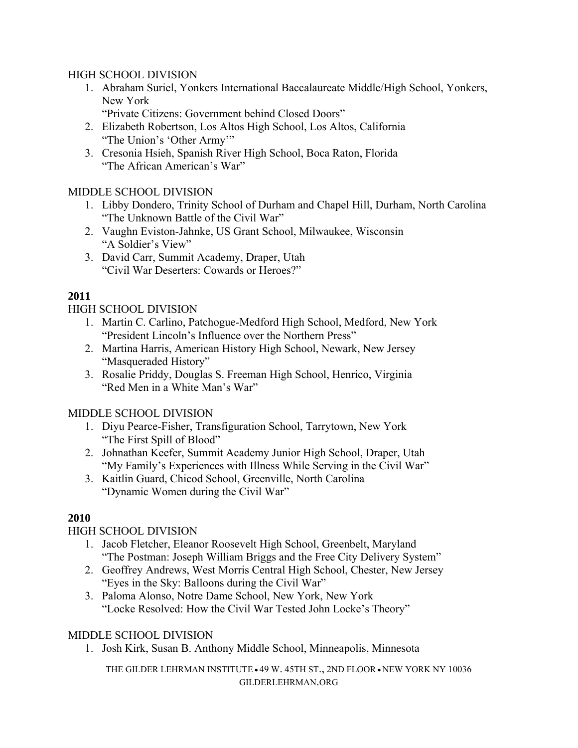#### HIGH SCHOOL DIVISION

- 1. Abraham Suriel, Yonkers International Baccalaureate Middle/High School, Yonkers, New York
	- "Private Citizens: Government behind Closed Doors"
- 2. Elizabeth Robertson, Los Altos High School, Los Altos, California "The Union's 'Other Army'"
- 3. Cresonia Hsieh, Spanish River High School, Boca Raton, Florida "The African American's War"

#### MIDDLE SCHOOL DIVISION

- 1. Libby Dondero, Trinity School of Durham and Chapel Hill, Durham, North Carolina "The Unknown Battle of the Civil War"
- 2. Vaughn Eviston-Jahnke, US Grant School, Milwaukee, Wisconsin "A Soldier's View"
- 3. David Carr, Summit Academy, Draper, Utah "Civil War Deserters: Cowards or Heroes?"

# **2011**

HIGH SCHOOL DIVISION

- 1. Martin C. Carlino, Patchogue-Medford High School, Medford, New York "President Lincoln's Influence over the Northern Press"
- 2. Martina Harris, American History High School, Newark, New Jersey "Masqueraded History"
- 3. Rosalie Priddy, Douglas S. Freeman High School, Henrico, Virginia "Red Men in a White Man's War"

# MIDDLE SCHOOL DIVISION

- 1. Diyu Pearce-Fisher, Transfiguration School, Tarrytown, New York "The First Spill of Blood"
- 2. Johnathan Keefer, Summit Academy Junior High School, Draper, Utah "My Family's Experiences with Illness While Serving in the Civil War"
- 3. Kaitlin Guard, Chicod School, Greenville, North Carolina "Dynamic Women during the Civil War"

# **2010**

# HIGH SCHOOL DIVISION

- 1. Jacob Fletcher, Eleanor Roosevelt High School, Greenbelt, Maryland "The Postman: Joseph William Briggs and the Free City Delivery System"
- 2. Geoffrey Andrews, West Morris Central High School, Chester, New Jersey "Eyes in the Sky: Balloons during the Civil War"
- 3. Paloma Alonso, Notre Dame School, New York, New York "Locke Resolved: How the Civil War Tested John Locke's Theory"

# MIDDLE SCHOOL DIVISION

1. Josh Kirk, Susan B. Anthony Middle School, Minneapolis, Minnesota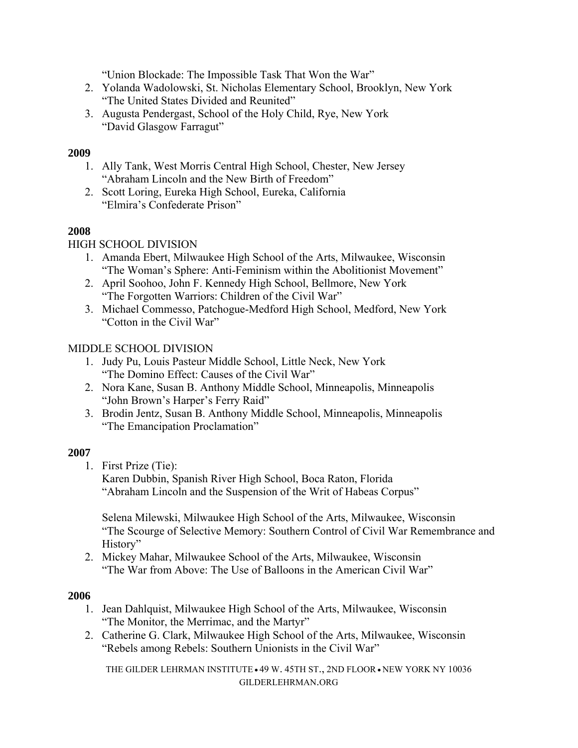"Union Blockade: The Impossible Task That Won the War"

- 2. Yolanda Wadolowski, St. Nicholas Elementary School, Brooklyn, New York "The United States Divided and Reunited"
- 3. Augusta Pendergast, School of the Holy Child, Rye, New York "David Glasgow Farragut"

### **2009**

- 1. Ally Tank, West Morris Central High School, Chester, New Jersey "Abraham Lincoln and the New Birth of Freedom"
- 2. Scott Loring, Eureka High School, Eureka, California "Elmira's Confederate Prison"

# **2008**

# HIGH SCHOOL DIVISION

- 1. Amanda Ebert, Milwaukee High School of the Arts, Milwaukee, Wisconsin "The Woman's Sphere: Anti-Feminism within the Abolitionist Movement"
- 2. April Soohoo, John F. Kennedy High School, Bellmore, New York "The Forgotten Warriors: Children of the Civil War"
- 3. Michael Commesso, Patchogue-Medford High School, Medford, New York "Cotton in the Civil War"

# MIDDLE SCHOOL DIVISION

- 1. Judy Pu, Louis Pasteur Middle School, Little Neck, New York "The Domino Effect: Causes of the Civil War"
- 2. Nora Kane, Susan B. Anthony Middle School, Minneapolis, Minneapolis "John Brown's Harper's Ferry Raid"
- 3. Brodin Jentz, Susan B. Anthony Middle School, Minneapolis, Minneapolis "The Emancipation Proclamation"

# **2007**

1. First Prize (Tie):

Karen Dubbin, Spanish River High School, Boca Raton, Florida "Abraham Lincoln and the Suspension of the Writ of Habeas Corpus"

Selena Milewski, Milwaukee High School of the Arts, Milwaukee, Wisconsin "The Scourge of Selective Memory: Southern Control of Civil War Remembrance and History"

2. Mickey Mahar, Milwaukee School of the Arts, Milwaukee, Wisconsin "The War from Above: The Use of Balloons in the American Civil War"

#### **2006**

- 1. Jean Dahlquist, Milwaukee High School of the Arts, Milwaukee, Wisconsin "The Monitor, the Merrimac, and the Martyr"
- 2. Catherine G. Clark, Milwaukee High School of the Arts, Milwaukee, Wisconsin "Rebels among Rebels: Southern Unionists in the Civil War"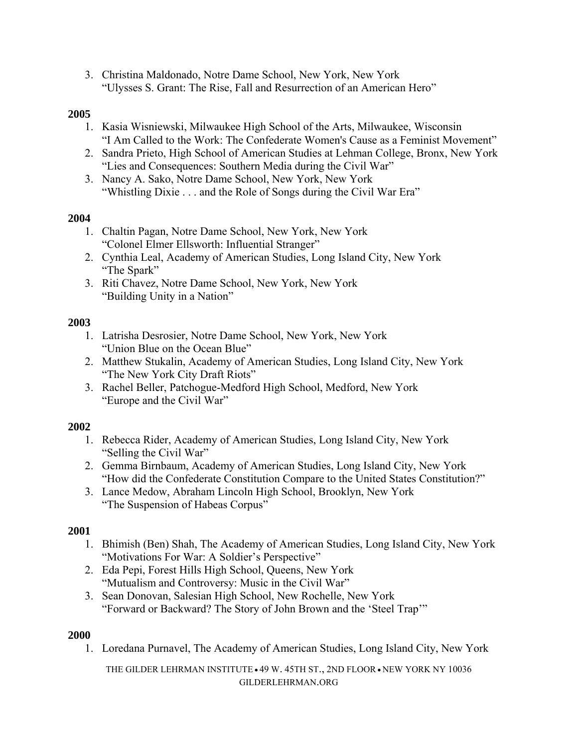3. Christina Maldonado, Notre Dame School, New York, New York "Ulysses S. Grant: The Rise, Fall and Resurrection of an American Hero"

#### **2005**

- 1. Kasia Wisniewski, Milwaukee High School of the Arts, Milwaukee, Wisconsin "I Am Called to the Work: The Confederate Women's Cause as a Feminist Movement"
- 2. Sandra Prieto, High School of American Studies at Lehman College, Bronx, New York "Lies and Consequences: Southern Media during the Civil War"
- 3. Nancy A. Sako, Notre Dame School, New York, New York "Whistling Dixie . . . and the Role of Songs during the Civil War Era"

#### **2004**

- 1. Chaltin Pagan, Notre Dame School, New York, New York "Colonel Elmer Ellsworth: Influential Stranger"
- 2. Cynthia Leal, Academy of American Studies, Long Island City, New York "The Spark"
- 3. Riti Chavez, Notre Dame School, New York, New York "Building Unity in a Nation"

#### **2003**

- 1. Latrisha Desrosier, Notre Dame School, New York, New York "Union Blue on the Ocean Blue"
- 2. Matthew Stukalin, Academy of American Studies, Long Island City, New York "The New York City Draft Riots"
- 3. Rachel Beller, Patchogue-Medford High School, Medford, New York "Europe and the Civil War"

#### **2002**

- 1. Rebecca Rider, Academy of American Studies, Long Island City, New York "Selling the Civil War"
- 2. Gemma Birnbaum, Academy of American Studies, Long Island City, New York "How did the Confederate Constitution Compare to the United States Constitution?"
- 3. Lance Medow, Abraham Lincoln High School, Brooklyn, New York "The Suspension of Habeas Corpus"

#### **2001**

- 1. Bhimish (Ben) Shah, The Academy of American Studies, Long Island City, New York "Motivations For War: A Soldier's Perspective"
- 2. Eda Pepi, Forest Hills High School, Queens, New York "Mutualism and Controversy: Music in the Civil War"
- 3. Sean Donovan, Salesian High School, New Rochelle, New York "Forward or Backward? The Story of John Brown and the 'Steel Trap'"

#### **2000**

1. Loredana Purnavel, The Academy of American Studies, Long Island City, New York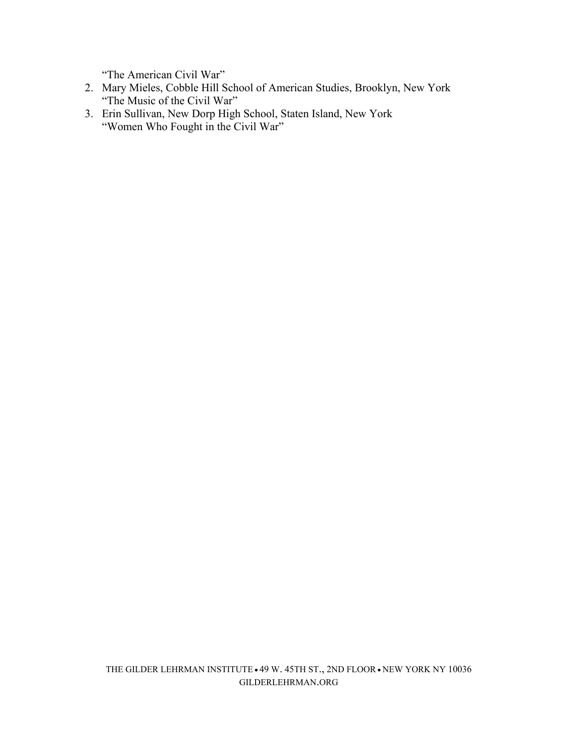"The American Civil War"

- 2. Mary Mieles, Cobble Hill School of American Studies, Brooklyn, New York "The Music of the Civil War"
- 3. Erin Sullivan, New Dorp High School, Staten Island, New York "Women Who Fought in the Civil War"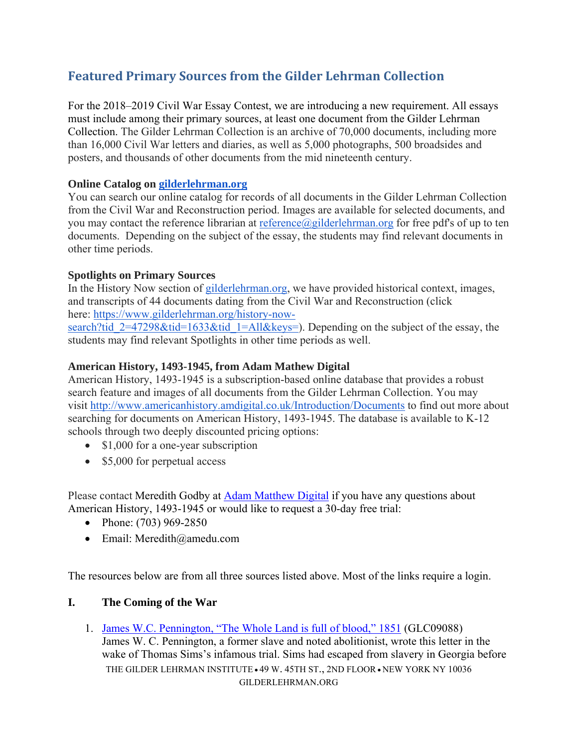# **Featured Primary Sources from the Gilder Lehrman Collection**

For the 2018–2019 Civil War Essay Contest, we are introducing a new requirement. All essays must include among their primary sources, at least one document from the Gilder Lehrman Collection. The Gilder Lehrman Collection is an archive of 70,000 documents, including more than 16,000 Civil War letters and diaries, as well as 5,000 photographs, 500 broadsides and posters, and thousands of other documents from the mid nineteenth century.

### **Online Catalog on gilderlehrman.org**

You can search our online catalog for records of all documents in the Gilder Lehrman Collection from the Civil War and Reconstruction period. Images are available for selected documents, and you may contact the reference librarian at reference@gilderlehrman.org for free pdf's of up to ten documents. Depending on the subject of the essay, the students may find relevant documents in other time periods.

### **Spotlights on Primary Sources**

In the History Now section of gilderlehrman.org, we have provided historical context, images, and transcripts of 44 documents dating from the Civil War and Reconstruction (click here: https://www.gilderlehrman.org/history-now-

search?tid\_2=47298&tid=1633&tid\_1=All&keys=). Depending on the subject of the essay, the students may find relevant Spotlights in other time periods as well.

### **American History, 1493-1945, from Adam Mathew Digital**

American History, 1493-1945 is a subscription-based online database that provides a robust search feature and images of all documents from the Gilder Lehrman Collection. You may visit http://www.americanhistory.amdigital.co.uk/Introduction/Documents to find out more about searching for documents on American History, 1493-1945. The database is available to K-12 schools through two deeply discounted pricing options:

- \$1,000 for a one-year subscription
- \$5,000 for perpetual access

Please contact Meredith Godby at Adam Matthew Digital if you have any questions about American History, 1493-1945 or would like to request a 30-day free trial:

- Phone:  $(703)$  969-2850
- Email: Meredith@amedu.com

The resources below are from all three sources listed above. Most of the links require a login.

# **I. The Coming of the War**

THE GILDER LEHRMAN INSTITUTE . 49 W. 45TH ST., 2ND FLOOR . NEW YORK NY 10036 GILDERLEHRMAN.ORG 1. James W.C. Pennington, "The Whole Land is full of blood," 1851 (GLC09088) James W. C. Pennington, a former slave and noted abolitionist, wrote this letter in the wake of Thomas Sims's infamous trial. Sims had escaped from slavery in Georgia before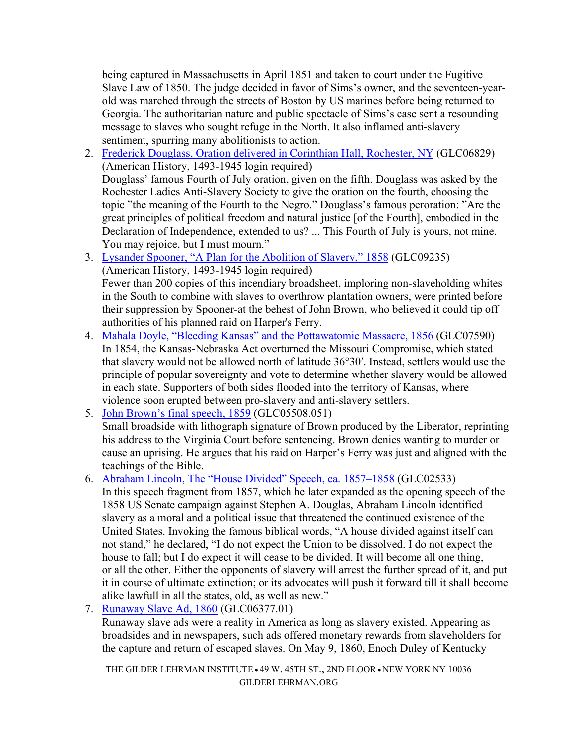being captured in Massachusetts in April 1851 and taken to court under the Fugitive Slave Law of 1850. The judge decided in favor of Sims's owner, and the seventeen-yearold was marched through the streets of Boston by US marines before being returned to Georgia. The authoritarian nature and public spectacle of Sims's case sent a resounding message to slaves who sought refuge in the North. It also inflamed anti-slavery sentiment, spurring many abolitionists to action.

2. Frederick Douglass, Oration delivered in Corinthian Hall, Rochester, NY (GLC06829) (American History, 1493-1945 login required)

Douglass' famous Fourth of July oration, given on the fifth. Douglass was asked by the Rochester Ladies Anti-Slavery Society to give the oration on the fourth, choosing the topic "the meaning of the Fourth to the Negro." Douglass's famous peroration: "Are the great principles of political freedom and natural justice [of the Fourth], embodied in the Declaration of Independence, extended to us? ... This Fourth of July is yours, not mine. You may rejoice, but I must mourn."

- 3. Lysander Spooner, "A Plan for the Abolition of Slavery," 1858 (GLC09235) (American History, 1493-1945 login required) Fewer than 200 copies of this incendiary broadsheet, imploring non-slaveholding whites in the South to combine with slaves to overthrow plantation owners, were printed before their suppression by Spooner-at the behest of John Brown, who believed it could tip off authorities of his planned raid on Harper's Ferry.
- 4. Mahala Doyle, "Bleeding Kansas" and the Pottawatomie Massacre, 1856 (GLC07590) In 1854, the Kansas-Nebraska Act overturned the Missouri Compromise, which stated that slavery would not be allowed north of latitude 36°30′. Instead, settlers would use the principle of popular sovereignty and vote to determine whether slavery would be allowed in each state. Supporters of both sides flooded into the territory of Kansas, where violence soon erupted between pro-slavery and anti-slavery settlers.
- 5. John Brown's final speech, 1859 (GLC05508.051) Small broadside with lithograph signature of Brown produced by the Liberator, reprinting his address to the Virginia Court before sentencing. Brown denies wanting to murder or cause an uprising. He argues that his raid on Harper's Ferry was just and aligned with the teachings of the Bible.
- 6. Abraham Lincoln, The "House Divided" Speech, ca. 1857–1858 (GLC02533) In this speech fragment from 1857, which he later expanded as the opening speech of the 1858 US Senate campaign against Stephen A. Douglas, Abraham Lincoln identified slavery as a moral and a political issue that threatened the continued existence of the United States. Invoking the famous biblical words, "A house divided against itself can not stand," he declared, "I do not expect the Union to be dissolved. I do not expect the house to fall; but I do expect it will cease to be divided. It will become all one thing, or all the other. Either the opponents of slavery will arrest the further spread of it, and put it in course of ultimate extinction; or its advocates will push it forward till it shall become alike lawfull in all the states, old, as well as new."
- 7. Runaway Slave Ad, 1860 (GLC06377.01)

Runaway slave ads were a reality in America as long as slavery existed. Appearing as broadsides and in newspapers, such ads offered monetary rewards from slaveholders for the capture and return of escaped slaves. On May 9, 1860, Enoch Duley of Kentucky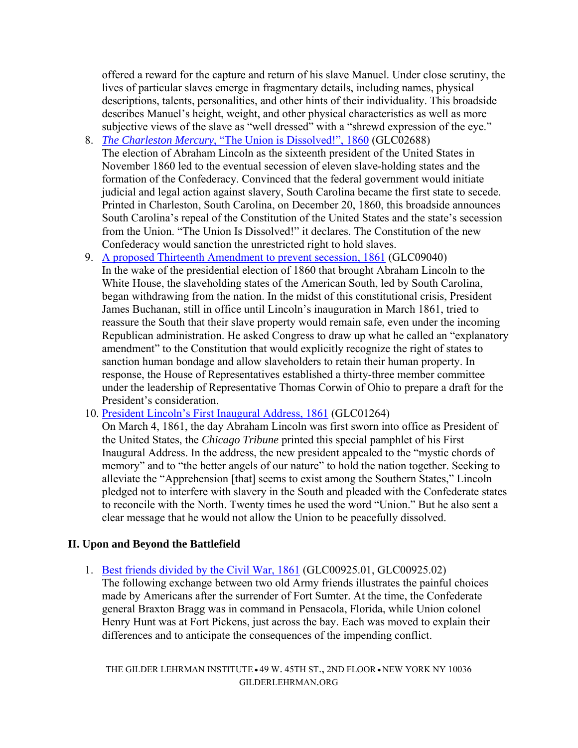offered a reward for the capture and return of his slave Manuel. Under close scrutiny, the lives of particular slaves emerge in fragmentary details, including names, physical descriptions, talents, personalities, and other hints of their individuality. This broadside describes Manuel's height, weight, and other physical characteristics as well as more subjective views of the slave as "well dressed" with a "shrewd expression of the eye."

- 8. *The Charleston Mercury*, "The Union is Dissolved!", 1860 (GLC02688) The election of Abraham Lincoln as the sixteenth president of the United States in November 1860 led to the eventual secession of eleven slave-holding states and the formation of the Confederacy. Convinced that the federal government would initiate judicial and legal action against slavery, South Carolina became the first state to secede. Printed in Charleston, South Carolina, on December 20, 1860, this broadside announces South Carolina's repeal of the Constitution of the United States and the state's secession from the Union. "The Union Is Dissolved!" it declares. The Constitution of the new Confederacy would sanction the unrestricted right to hold slaves.
- 9. A proposed Thirteenth Amendment to prevent secession, 1861 (GLC09040) In the wake of the presidential election of 1860 that brought Abraham Lincoln to the White House, the slaveholding states of the American South, led by South Carolina, began withdrawing from the nation. In the midst of this constitutional crisis, President James Buchanan, still in office until Lincoln's inauguration in March 1861, tried to reassure the South that their slave property would remain safe, even under the incoming Republican administration. He asked Congress to draw up what he called an "explanatory amendment" to the Constitution that would explicitly recognize the right of states to sanction human bondage and allow slaveholders to retain their human property. In response, the House of Representatives established a thirty-three member committee under the leadership of Representative Thomas Corwin of Ohio to prepare a draft for the President's consideration.

10. President Lincoln's First Inaugural Address, 1861 (GLC01264)

On March 4, 1861, the day Abraham Lincoln was first sworn into office as President of the United States, the *Chicago Tribune* printed this special pamphlet of his First Inaugural Address. In the address, the new president appealed to the "mystic chords of memory" and to "the better angels of our nature" to hold the nation together. Seeking to alleviate the "Apprehension [that] seems to exist among the Southern States," Lincoln pledged not to interfere with slavery in the South and pleaded with the Confederate states to reconcile with the North. Twenty times he used the word "Union." But he also sent a clear message that he would not allow the Union to be peacefully dissolved.

#### **II. Upon and Beyond the Battlefield**

1. Best friends divided by the Civil War, 1861 (GLC00925.01, GLC00925.02) The following exchange between two old Army friends illustrates the painful choices made by Americans after the surrender of Fort Sumter. At the time, the Confederate general Braxton Bragg was in command in Pensacola, Florida, while Union colonel Henry Hunt was at Fort Pickens, just across the bay. Each was moved to explain their differences and to anticipate the consequences of the impending conflict.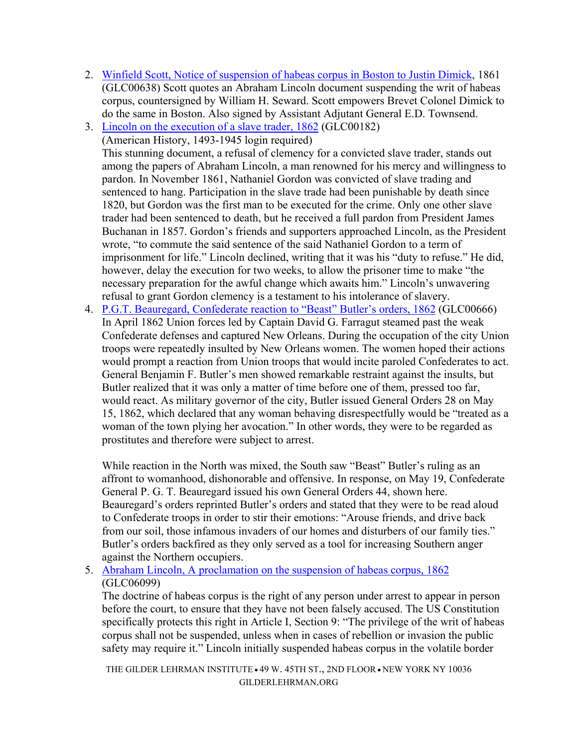- 2. Winfield Scott, Notice of suspension of habeas corpus in Boston to Justin Dimick, 1861 (GLC00638) Scott quotes an Abraham Lincoln document suspending the writ of habeas corpus, countersigned by William H. Seward. Scott empowers Brevet Colonel Dimick to do the same in Boston. Also signed by Assistant Adjutant General E.D. Townsend.
- 3. Lincoln on the execution of a slave trader, 1862 (GLC00182)

(American History, 1493-1945 login required) This stunning document, a refusal of clemency for a convicted slave trader, stands out among the papers of Abraham Lincoln, a man renowned for his mercy and willingness to pardon. In November 1861, Nathaniel Gordon was convicted of slave trading and sentenced to hang. Participation in the slave trade had been punishable by death since 1820, but Gordon was the first man to be executed for the crime. Only one other slave trader had been sentenced to death, but he received a full pardon from President James Buchanan in 1857. Gordon's friends and supporters approached Lincoln, as the President wrote, "to commute the said sentence of the said Nathaniel Gordon to a term of imprisonment for life." Lincoln declined, writing that it was his "duty to refuse." He did, however, delay the execution for two weeks, to allow the prisoner time to make "the necessary preparation for the awful change which awaits him." Lincoln's unwavering refusal to grant Gordon clemency is a testament to his intolerance of slavery.

4. P.G.T. Beauregard, Confederate reaction to "Beast" Butler's orders, 1862 (GLC00666) In April 1862 Union forces led by Captain David G. Farragut steamed past the weak Confederate defenses and captured New Orleans. During the occupation of the city Union troops were repeatedly insulted by New Orleans women. The women hoped their actions would prompt a reaction from Union troops that would incite paroled Confederates to act. General Benjamin F. Butler's men showed remarkable restraint against the insults, but Butler realized that it was only a matter of time before one of them, pressed too far, would react. As military governor of the city, Butler issued General Orders 28 on May 15, 1862, which declared that any woman behaving disrespectfully would be "treated as a woman of the town plying her avocation." In other words, they were to be regarded as prostitutes and therefore were subject to arrest.

While reaction in the North was mixed, the South saw "Beast" Butler's ruling as an affront to womanhood, dishonorable and offensive. In response, on May 19, Confederate General P. G. T. Beauregard issued his own General Orders 44, shown here. Beauregard's orders reprinted Butler's orders and stated that they were to be read aloud to Confederate troops in order to stir their emotions: "Arouse friends, and drive back from our soil, those infamous invaders of our homes and disturbers of our family ties." Butler's orders backfired as they only served as a tool for increasing Southern anger against the Northern occupiers.

5. Abraham Lincoln, A proclamation on the suspension of habeas corpus, 1862 (GLC06099)

The doctrine of habeas corpus is the right of any person under arrest to appear in person before the court, to ensure that they have not been falsely accused. The US Constitution specifically protects this right in Article I, Section 9: "The privilege of the writ of habeas corpus shall not be suspended, unless when in cases of rebellion or invasion the public safety may require it." Lincoln initially suspended habeas corpus in the volatile border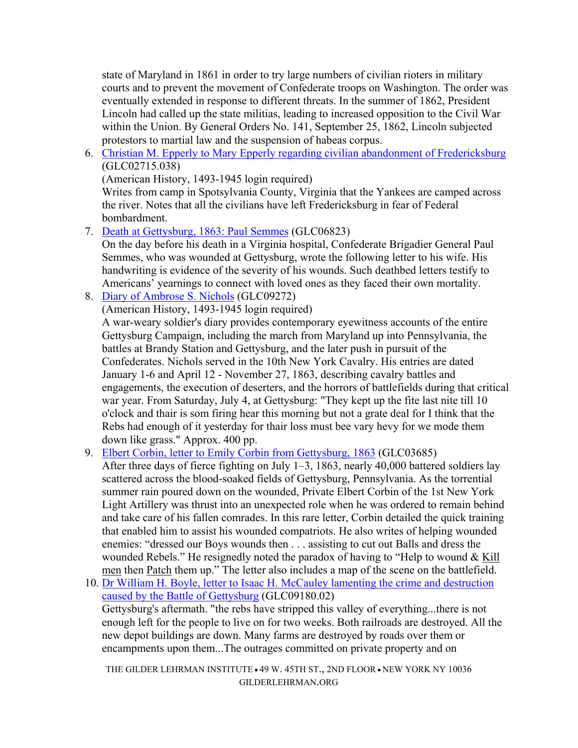state of Maryland in 1861 in order to try large numbers of civilian rioters in military courts and to prevent the movement of Confederate troops on Washington. The order was eventually extended in response to different threats. In the summer of 1862, President Lincoln had called up the state militias, leading to increased opposition to the Civil War within the Union. By General Orders No. 141, September 25, 1862, Lincoln subjected protestors to martial law and the suspension of habeas corpus.

6. Christian M. Epperly to Mary Epperly regarding civilian abandonment of Fredericksburg (GLC02715.038)

(American History, 1493-1945 login required)

Writes from camp in Spotsylvania County, Virginia that the Yankees are camped across the river. Notes that all the civilians have left Fredericksburg in fear of Federal bombardment.

7. Death at Gettysburg, 1863: Paul Semmes (GLC06823)

On the day before his death in a Virginia hospital, Confederate Brigadier General Paul Semmes, who was wounded at Gettysburg, wrote the following letter to his wife. His handwriting is evidence of the severity of his wounds. Such deathbed letters testify to Americans' yearnings to connect with loved ones as they faced their own mortality.

8. Diary of Ambrose S. Nichols (GLC09272)

(American History, 1493-1945 login required)

A war-weary soldier's diary provides contemporary eyewitness accounts of the entire Gettysburg Campaign, including the march from Maryland up into Pennsylvania, the battles at Brandy Station and Gettysburg, and the later push in pursuit of the Confederates. Nichols served in the 10th New York Cavalry. His entries are dated January 1-6 and April 12 - November 27, 1863, describing cavalry battles and engagements, the execution of deserters, and the horrors of battlefields during that critical war year. From Saturday, July 4, at Gettysburg: "They kept up the fite last nite till 10 o'clock and thair is som firing hear this morning but not a grate deal for I think that the Rebs had enough of it yesterday for thair loss must bee vary hevy for we mode them down like grass." Approx. 400 pp.

9. Elbert Corbin, letter to Emily Corbin from Gettysburg, 1863 (GLC03685)

After three days of fierce fighting on July 1–3, 1863, nearly 40,000 battered soldiers lay scattered across the blood-soaked fields of Gettysburg, Pennsylvania. As the torrential summer rain poured down on the wounded, Private Elbert Corbin of the 1st New York Light Artillery was thrust into an unexpected role when he was ordered to remain behind and take care of his fallen comrades. In this rare letter, Corbin detailed the quick training that enabled him to assist his wounded compatriots. He also writes of helping wounded enemies: "dressed our Boys wounds then . . . assisting to cut out Balls and dress the wounded Rebels." He resignedly noted the paradox of having to "Help to wound & Kill" men then Patch them up." The letter also includes a map of the scene on the battlefield.

10. Dr William H. Boyle, letter to Isaac H. McCauley lamenting the crime and destruction caused by the Battle of Gettysburg (GLC09180.02) Gettysburg's aftermath. "the rebs have stripped this valley of everything...there is not enough left for the people to live on for two weeks. Both railroads are destroyed. All the new depot buildings are down. Many farms are destroyed by roads over them or encampments upon them...The outrages committed on private property and on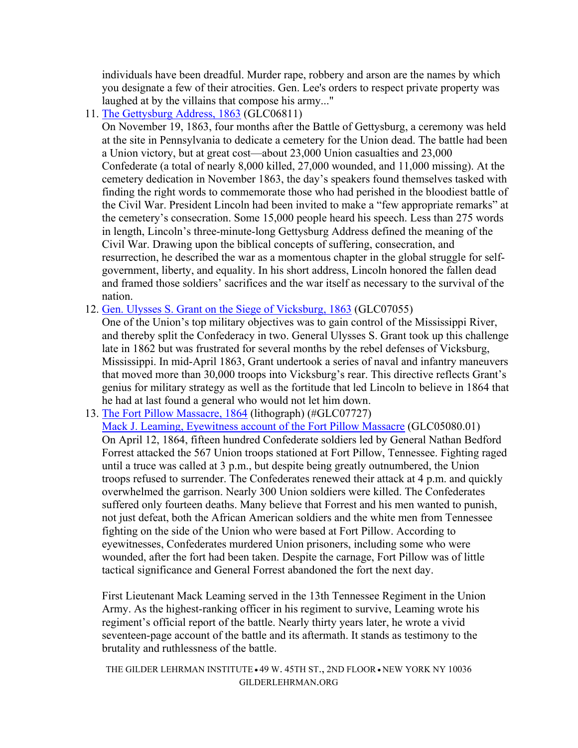individuals have been dreadful. Murder rape, robbery and arson are the names by which you designate a few of their atrocities. Gen. Lee's orders to respect private property was laughed at by the villains that compose his army..."

11. The Gettysburg Address, 1863 (GLC06811)

On November 19, 1863, four months after the Battle of Gettysburg, a ceremony was held at the site in Pennsylvania to dedicate a cemetery for the Union dead. The battle had been a Union victory, but at great cost—about 23,000 Union casualties and 23,000 Confederate (a total of nearly 8,000 killed, 27,000 wounded, and 11,000 missing). At the cemetery dedication in November 1863, the day's speakers found themselves tasked with finding the right words to commemorate those who had perished in the bloodiest battle of the Civil War. President Lincoln had been invited to make a "few appropriate remarks" at the cemetery's consecration. Some 15,000 people heard his speech. Less than 275 words in length, Lincoln's three-minute-long Gettysburg Address defined the meaning of the Civil War. Drawing upon the biblical concepts of suffering, consecration, and resurrection, he described the war as a momentous chapter in the global struggle for selfgovernment, liberty, and equality. In his short address, Lincoln honored the fallen dead and framed those soldiers' sacrifices and the war itself as necessary to the survival of the nation.

12. Gen. Ulysses S. Grant on the Siege of Vicksburg, 1863 (GLC07055)

One of the Union's top military objectives was to gain control of the Mississippi River, and thereby split the Confederacy in two. General Ulysses S. Grant took up this challenge late in 1862 but was frustrated for several months by the rebel defenses of Vicksburg, Mississippi. In mid-April 1863, Grant undertook a series of naval and infantry maneuvers that moved more than 30,000 troops into Vicksburg's rear. This directive reflects Grant's genius for military strategy as well as the fortitude that led Lincoln to believe in 1864 that he had at last found a general who would not let him down.

13. The Fort Pillow Massacre, 1864 (lithograph) (#GLC07727)

Mack J. Leaming, Eyewitness account of the Fort Pillow Massacre (GLC05080.01) On April 12, 1864, fifteen hundred Confederate soldiers led by General Nathan Bedford Forrest attacked the 567 Union troops stationed at Fort Pillow, Tennessee. Fighting raged until a truce was called at 3 p.m., but despite being greatly outnumbered, the Union troops refused to surrender. The Confederates renewed their attack at 4 p.m. and quickly overwhelmed the garrison. Nearly 300 Union soldiers were killed. The Confederates suffered only fourteen deaths. Many believe that Forrest and his men wanted to punish, not just defeat, both the African American soldiers and the white men from Tennessee fighting on the side of the Union who were based at Fort Pillow. According to eyewitnesses, Confederates murdered Union prisoners, including some who were wounded, after the fort had been taken. Despite the carnage, Fort Pillow was of little tactical significance and General Forrest abandoned the fort the next day.

First Lieutenant Mack Leaming served in the 13th Tennessee Regiment in the Union Army. As the highest-ranking officer in his regiment to survive, Leaming wrote his regiment's official report of the battle. Nearly thirty years later, he wrote a vivid seventeen-page account of the battle and its aftermath. It stands as testimony to the brutality and ruthlessness of the battle.

```
THE GILDER LEHRMAN INSTITUTE \cdot 49 W. 45TH ST., 2ND FLOOR \cdot NEW YORK NY 10036
                 GILDERLEHRMAN.ORG
```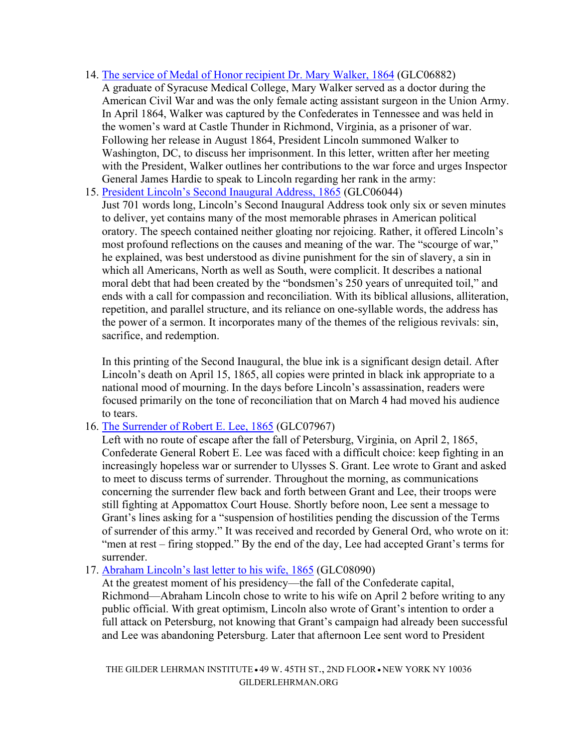- 14. The service of Medal of Honor recipient Dr. Mary Walker, 1864 (GLC06882) A graduate of Syracuse Medical College, Mary Walker served as a doctor during the American Civil War and was the only female acting assistant surgeon in the Union Army. In April 1864, Walker was captured by the Confederates in Tennessee and was held in the women's ward at Castle Thunder in Richmond, Virginia, as a prisoner of war. Following her release in August 1864, President Lincoln summoned Walker to Washington, DC, to discuss her imprisonment. In this letter, written after her meeting with the President, Walker outlines her contributions to the war force and urges Inspector General James Hardie to speak to Lincoln regarding her rank in the army:
- 15. President Lincoln's Second Inaugural Address, 1865 (GLC06044)

Just 701 words long, Lincoln's Second Inaugural Address took only six or seven minutes to deliver, yet contains many of the most memorable phrases in American political oratory. The speech contained neither gloating nor rejoicing. Rather, it offered Lincoln's most profound reflections on the causes and meaning of the war. The "scourge of war," he explained, was best understood as divine punishment for the sin of slavery, a sin in which all Americans, North as well as South, were complicit. It describes a national moral debt that had been created by the "bondsmen's 250 years of unrequited toil," and ends with a call for compassion and reconciliation. With its biblical allusions, alliteration, repetition, and parallel structure, and its reliance on one-syllable words, the address has the power of a sermon. It incorporates many of the themes of the religious revivals: sin, sacrifice, and redemption.

In this printing of the Second Inaugural, the blue ink is a significant design detail. After Lincoln's death on April 15, 1865, all copies were printed in black ink appropriate to a national mood of mourning. In the days before Lincoln's assassination, readers were focused primarily on the tone of reconciliation that on March 4 had moved his audience to tears.

#### 16. The Surrender of Robert E. Lee, 1865 (GLC07967)

Left with no route of escape after the fall of Petersburg, Virginia, on April 2, 1865, Confederate General Robert E. Lee was faced with a difficult choice: keep fighting in an increasingly hopeless war or surrender to Ulysses S. Grant. Lee wrote to Grant and asked to meet to discuss terms of surrender. Throughout the morning, as communications concerning the surrender flew back and forth between Grant and Lee, their troops were still fighting at Appomattox Court House. Shortly before noon, Lee sent a message to Grant's lines asking for a "suspension of hostilities pending the discussion of the Terms of surrender of this army." It was received and recorded by General Ord, who wrote on it: "men at rest – firing stopped." By the end of the day, Lee had accepted Grant's terms for surrender.

#### 17. Abraham Lincoln's last letter to his wife, 1865 (GLC08090)

At the greatest moment of his presidency—the fall of the Confederate capital, Richmond—Abraham Lincoln chose to write to his wife on April 2 before writing to any public official. With great optimism, Lincoln also wrote of Grant's intention to order a full attack on Petersburg, not knowing that Grant's campaign had already been successful and Lee was abandoning Petersburg. Later that afternoon Lee sent word to President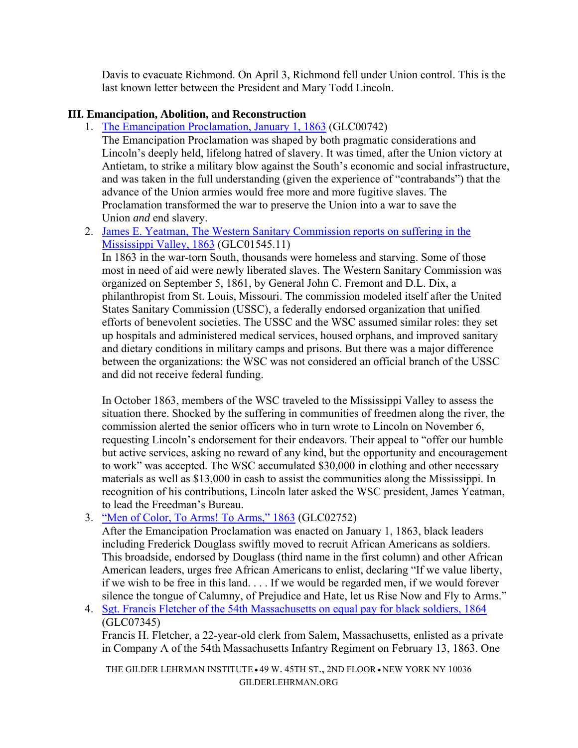Davis to evacuate Richmond. On April 3, Richmond fell under Union control. This is the last known letter between the President and Mary Todd Lincoln.

#### **III. Emancipation, Abolition, and Reconstruction**

1. The Emancipation Proclamation, January 1, 1863 (GLC00742)

The Emancipation Proclamation was shaped by both pragmatic considerations and Lincoln's deeply held, lifelong hatred of slavery. It was timed, after the Union victory at Antietam, to strike a military blow against the South's economic and social infrastructure, and was taken in the full understanding (given the experience of "contrabands") that the advance of the Union armies would free more and more fugitive slaves. The Proclamation transformed the war to preserve the Union into a war to save the Union *and* end slavery.

2. James E. Yeatman, The Western Sanitary Commission reports on suffering in the Mississippi Valley, 1863 (GLC01545.11)

In 1863 in the war-torn South, thousands were homeless and starving. Some of those most in need of aid were newly liberated slaves. The Western Sanitary Commission was organized on September 5, 1861, by General John C. Fremont and D.L. Dix, a philanthropist from St. Louis, Missouri. The commission modeled itself after the United States Sanitary Commission (USSC), a federally endorsed organization that unified efforts of benevolent societies. The USSC and the WSC assumed similar roles: they set up hospitals and administered medical services, housed orphans, and improved sanitary and dietary conditions in military camps and prisons. But there was a major difference between the organizations: the WSC was not considered an official branch of the USSC and did not receive federal funding.

In October 1863, members of the WSC traveled to the Mississippi Valley to assess the situation there. Shocked by the suffering in communities of freedmen along the river, the commission alerted the senior officers who in turn wrote to Lincoln on November 6, requesting Lincoln's endorsement for their endeavors. Their appeal to "offer our humble but active services, asking no reward of any kind, but the opportunity and encouragement to work" was accepted. The WSC accumulated \$30,000 in clothing and other necessary materials as well as \$13,000 in cash to assist the communities along the Mississippi. In recognition of his contributions, Lincoln later asked the WSC president, James Yeatman, to lead the Freedman's Bureau.

3. "Men of Color, To Arms! To Arms," 1863 (GLC02752)

After the Emancipation Proclamation was enacted on January 1, 1863, black leaders including Frederick Douglass swiftly moved to recruit African Americans as soldiers. This broadside, endorsed by Douglass (third name in the first column) and other African American leaders, urges free African Americans to enlist, declaring "If we value liberty, if we wish to be free in this land. . . . If we would be regarded men, if we would forever silence the tongue of Calumny, of Prejudice and Hate, let us Rise Now and Fly to Arms."

4. Sgt. Francis Fletcher of the 54th Massachusetts on equal pay for black soldiers, 1864 (GLC07345)

Francis H. Fletcher, a 22-year-old clerk from Salem, Massachusetts, enlisted as a private in Company A of the 54th Massachusetts Infantry Regiment on February 13, 1863. One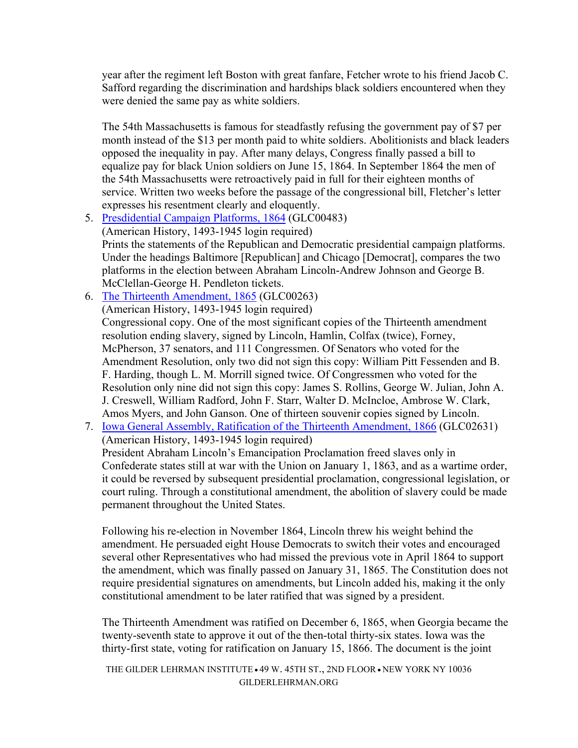year after the regiment left Boston with great fanfare, Fetcher wrote to his friend Jacob C. Safford regarding the discrimination and hardships black soldiers encountered when they were denied the same pay as white soldiers.

The 54th Massachusetts is famous for steadfastly refusing the government pay of \$7 per month instead of the \$13 per month paid to white soldiers. Abolitionists and black leaders opposed the inequality in pay. After many delays, Congress finally passed a bill to equalize pay for black Union soldiers on June 15, 1864. In September 1864 the men of the 54th Massachusetts were retroactively paid in full for their eighteen months of service. Written two weeks before the passage of the congressional bill, Fletcher's letter expresses his resentment clearly and eloquently.

- 5. Presdidential Campaign Platforms, 1864 (GLC00483) (American History, 1493-1945 login required) Prints the statements of the Republican and Democratic presidential campaign platforms. Under the headings Baltimore [Republican] and Chicago [Democrat], compares the two platforms in the election between Abraham Lincoln-Andrew Johnson and George B. McClellan-George H. Pendleton tickets.
- 6. The Thirteenth Amendment, 1865 (GLC00263)

(American History, 1493-1945 login required)

Congressional copy. One of the most significant copies of the Thirteenth amendment resolution ending slavery, signed by Lincoln, Hamlin, Colfax (twice), Forney, McPherson, 37 senators, and 111 Congressmen. Of Senators who voted for the Amendment Resolution, only two did not sign this copy: William Pitt Fessenden and B. F. Harding, though L. M. Morrill signed twice. Of Congressmen who voted for the Resolution only nine did not sign this copy: James S. Rollins, George W. Julian, John A. J. Creswell, William Radford, John F. Starr, Walter D. McIncloe, Ambrose W. Clark, Amos Myers, and John Ganson. One of thirteen souvenir copies signed by Lincoln.

7. Iowa General Assembly, Ratification of the Thirteenth Amendment, 1866 (GLC02631) (American History, 1493-1945 login required)

President Abraham Lincoln's Emancipation Proclamation freed slaves only in Confederate states still at war with the Union on January 1, 1863, and as a wartime order, it could be reversed by subsequent presidential proclamation, congressional legislation, or court ruling. Through a constitutional amendment, the abolition of slavery could be made permanent throughout the United States.

Following his re-election in November 1864, Lincoln threw his weight behind the amendment. He persuaded eight House Democrats to switch their votes and encouraged several other Representatives who had missed the previous vote in April 1864 to support the amendment, which was finally passed on January 31, 1865. The Constitution does not require presidential signatures on amendments, but Lincoln added his, making it the only constitutional amendment to be later ratified that was signed by a president.

The Thirteenth Amendment was ratified on December 6, 1865, when Georgia became the twenty-seventh state to approve it out of the then-total thirty-six states. Iowa was the thirty-first state, voting for ratification on January 15, 1866. The document is the joint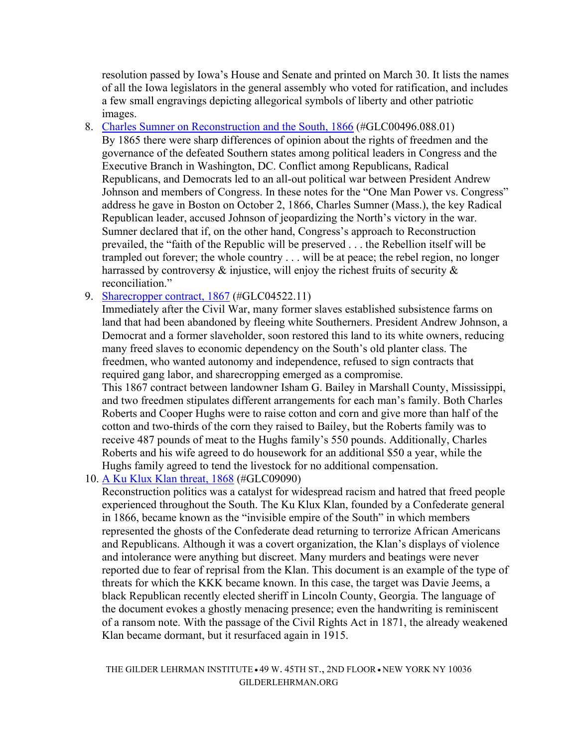resolution passed by Iowa's House and Senate and printed on March 30. It lists the names of all the Iowa legislators in the general assembly who voted for ratification, and includes a few small engravings depicting allegorical symbols of liberty and other patriotic images.

- 8. Charles Sumner on Reconstruction and the South, 1866 (#GLC00496.088.01) By 1865 there were sharp differences of opinion about the rights of freedmen and the governance of the defeated Southern states among political leaders in Congress and the Executive Branch in Washington, DC. Conflict among Republicans, Radical Republicans, and Democrats led to an all-out political war between President Andrew Johnson and members of Congress. In these notes for the "One Man Power vs. Congress" address he gave in Boston on October 2, 1866, Charles Sumner (Mass.), the key Radical Republican leader, accused Johnson of jeopardizing the North's victory in the war. Sumner declared that if, on the other hand, Congress's approach to Reconstruction prevailed, the "faith of the Republic will be preserved . . . the Rebellion itself will be trampled out forever; the whole country . . . will be at peace; the rebel region, no longer harrassed by controversy  $\&$  injustice, will enjoy the richest fruits of security  $\&$ reconciliation."
- 9. Sharecropper contract, 1867 (#GLC04522.11)

Immediately after the Civil War, many former slaves established subsistence farms on land that had been abandoned by fleeing white Southerners. President Andrew Johnson, a Democrat and a former slaveholder, soon restored this land to its white owners, reducing many freed slaves to economic dependency on the South's old planter class. The freedmen, who wanted autonomy and independence, refused to sign contracts that required gang labor, and sharecropping emerged as a compromise. This 1867 contract between landowner Isham G. Bailey in Marshall County, Mississippi, and two freedmen stipulates different arrangements for each man's family. Both Charles Roberts and Cooper Hughs were to raise cotton and corn and give more than half of the cotton and two-thirds of the corn they raised to Bailey, but the Roberts family was to receive 487 pounds of meat to the Hughs family's 550 pounds. Additionally, Charles

Roberts and his wife agreed to do housework for an additional \$50 a year, while the

Hughs family agreed to tend the livestock for no additional compensation. 10. A Ku Klux Klan threat, 1868 (#GLC09090)

Reconstruction politics was a catalyst for widespread racism and hatred that freed people experienced throughout the South. The Ku Klux Klan, founded by a Confederate general in 1866, became known as the "invisible empire of the South" in which members represented the ghosts of the Confederate dead returning to terrorize African Americans and Republicans. Although it was a covert organization, the Klan's displays of violence and intolerance were anything but discreet. Many murders and beatings were never reported due to fear of reprisal from the Klan. This document is an example of the type of threats for which the KKK became known. In this case, the target was Davie Jeems, a black Republican recently elected sheriff in Lincoln County, Georgia. The language of the document evokes a ghostly menacing presence; even the handwriting is reminiscent of a ransom note. With the passage of the Civil Rights Act in 1871, the already weakened Klan became dormant, but it resurfaced again in 1915.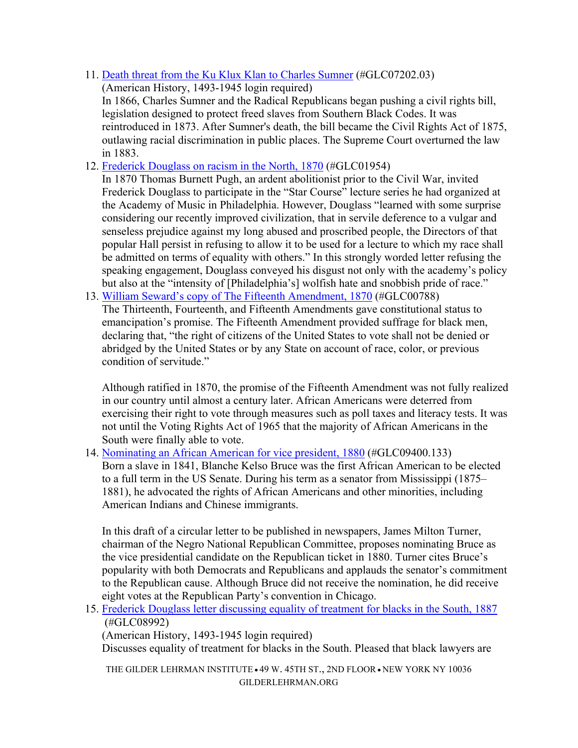11. Death threat from the Ku Klux Klan to Charles Sumner (#GLC07202.03)

(American History, 1493-1945 login required)

In 1866, Charles Sumner and the Radical Republicans began pushing a civil rights bill, legislation designed to protect freed slaves from Southern Black Codes. It was reintroduced in 1873. After Sumner's death, the bill became the Civil Rights Act of 1875, outlawing racial discrimination in public places. The Supreme Court overturned the law in 1883.

12. Frederick Douglass on racism in the North, 1870 (#GLC01954)

In 1870 Thomas Burnett Pugh, an ardent abolitionist prior to the Civil War, invited Frederick Douglass to participate in the "Star Course" lecture series he had organized at the Academy of Music in Philadelphia. However, Douglass "learned with some surprise considering our recently improved civilization, that in servile deference to a vulgar and senseless prejudice against my long abused and proscribed people, the Directors of that popular Hall persist in refusing to allow it to be used for a lecture to which my race shall be admitted on terms of equality with others." In this strongly worded letter refusing the speaking engagement, Douglass conveyed his disgust not only with the academy's policy but also at the "intensity of [Philadelphia's] wolfish hate and snobbish pride of race."

13. William Seward's copy of The Fifteenth Amendment, 1870 (#GLC00788)

The Thirteenth, Fourteenth, and Fifteenth Amendments gave constitutional status to emancipation's promise. The Fifteenth Amendment provided suffrage for black men, declaring that, "the right of citizens of the United States to vote shall not be denied or abridged by the United States or by any State on account of race, color, or previous condition of servitude."

Although ratified in 1870, the promise of the Fifteenth Amendment was not fully realized in our country until almost a century later. African Americans were deterred from exercising their right to vote through measures such as poll taxes and literacy tests. It was not until the Voting Rights Act of 1965 that the majority of African Americans in the South were finally able to vote.

14. Nominating an African American for vice president, 1880 (#GLC09400.133) Born a slave in 1841, Blanche Kelso Bruce was the first African American to be elected to a full term in the US Senate. During his term as a senator from Mississippi (1875– 1881), he advocated the rights of African Americans and other minorities, including American Indians and Chinese immigrants.

In this draft of a circular letter to be published in newspapers, James Milton Turner, chairman of the Negro National Republican Committee, proposes nominating Bruce as the vice presidential candidate on the Republican ticket in 1880. Turner cites Bruce's popularity with both Democrats and Republicans and applauds the senator's commitment to the Republican cause. Although Bruce did not receive the nomination, he did receive eight votes at the Republican Party's convention in Chicago.

15. Frederick Douglass letter discussing equality of treatment for blacks in the South, 1887 (#GLC08992)

(American History, 1493-1945 login required)

Discusses equality of treatment for blacks in the South. Pleased that black lawyers are